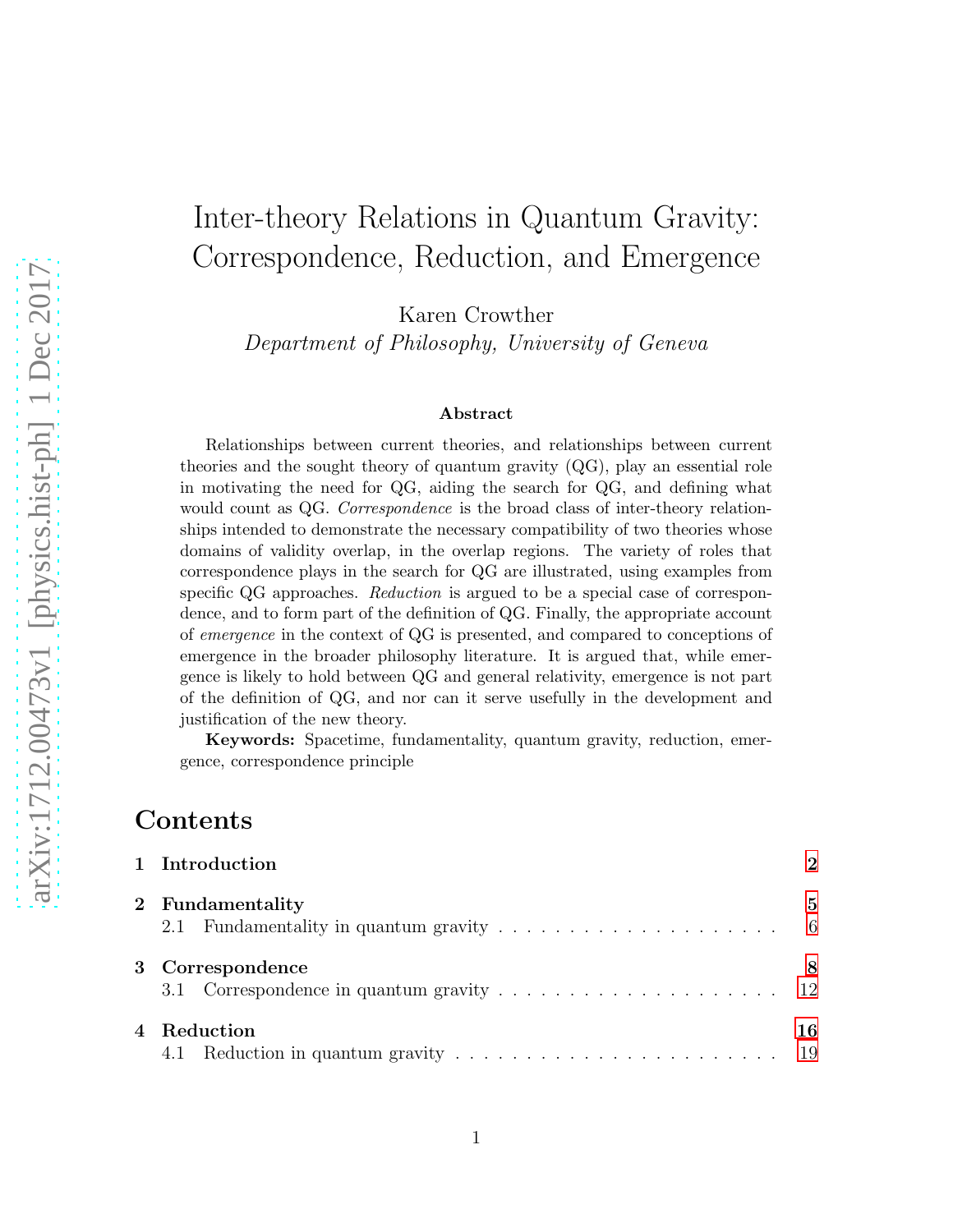# Inter-theory Relations in Quantum Gravity: Correspondence, Reduction, and Emergence

Karen Crowther

Department of Philosophy, University of Geneva

#### Abstract

Relationships between current theories, and relationships between current theories and the sought theory of quantum gravity (QG), play an essential role in motivating the need for QG, aiding the search for QG, and defining what would count as QG. Correspondence is the broad class of inter-theory relationships intended to demonstrate the necessary compatibility of two theories whose domains of validity overlap, in the overlap regions. The variety of roles that correspondence plays in the search for QG are illustrated, using examples from specific QG approaches. Reduction is argued to be a special case of correspondence, and to form part of the definition of QG. Finally, the appropriate account of emergence in the context of QG is presented, and compared to conceptions of emergence in the broader philosophy literature. It is argued that, while emergence is likely to hold between QG and general relativity, emergence is not part of the definition of QG, and nor can it serve usefully in the development and justification of the new theory.

Keywords: Spacetime, fundamentality, quantum gravity, reduction, emergence, correspondence principle

### Contents

| 1 Introduction     | 2  |
|--------------------|----|
| 2 Fundamentality   | 5  |
| 3 Correspondence   | 8  |
| 4 Reduction<br>4.1 | 16 |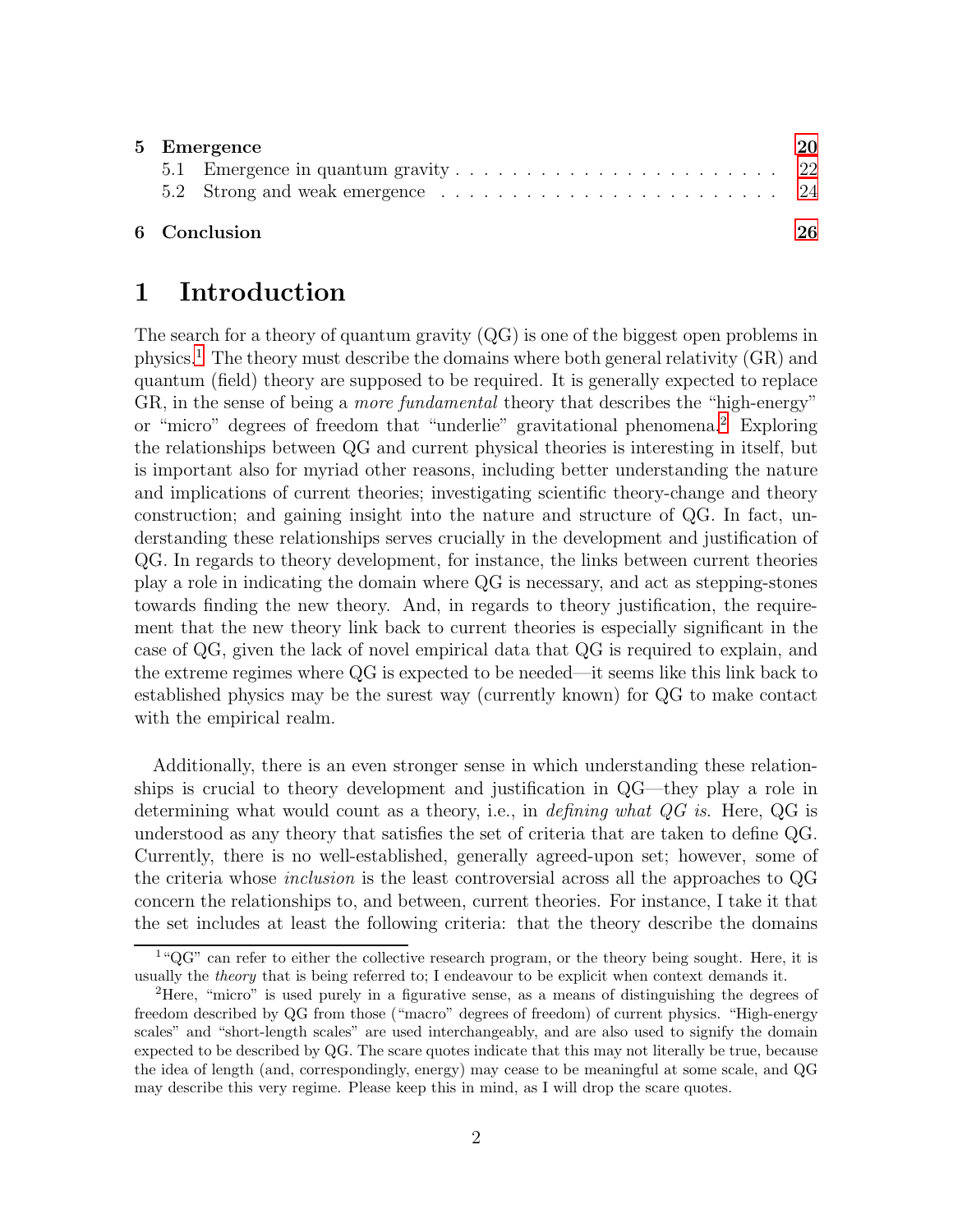| 5 Emergence  |  |    |  |
|--------------|--|----|--|
|              |  |    |  |
|              |  |    |  |
| 6 Conclusion |  | 26 |  |

# <span id="page-1-0"></span>1 Introduction

The search for a theory of quantum gravity (QG) is one of the biggest open problems in physics.[1](#page-1-1) The theory must describe the domains where both general relativity (GR) and quantum (field) theory are supposed to be required. It is generally expected to replace GR, in the sense of being a more fundamental theory that describes the "high-energy" or "micro" degrees of freedom that "underlie" gravitational phenomena.[2](#page-1-2) Exploring the relationships between QG and current physical theories is interesting in itself, but is important also for myriad other reasons, including better understanding the nature and implications of current theories; investigating scientific theory-change and theory construction; and gaining insight into the nature and structure of QG. In fact, understanding these relationships serves crucially in the development and justification of QG. In regards to theory development, for instance, the links between current theories play a role in indicating the domain where QG is necessary, and act as stepping-stones towards finding the new theory. And, in regards to theory justification, the requirement that the new theory link back to current theories is especially significant in the case of QG, given the lack of novel empirical data that QG is required to explain, and the extreme regimes where QG is expected to be needed—it seems like this link back to established physics may be the surest way (currently known) for QG to make contact with the empirical realm.

Additionally, there is an even stronger sense in which understanding these relationships is crucial to theory development and justification in QG—they play a role in determining what would count as a theory, i.e., in *defining what QG is*. Here, QG is understood as any theory that satisfies the set of criteria that are taken to define QG. Currently, there is no well-established, generally agreed-upon set; however, some of the criteria whose inclusion is the least controversial across all the approaches to QG concern the relationships to, and between, current theories. For instance, I take it that the set includes at least the following criteria: that the theory describe the domains

<span id="page-1-1"></span> $1^{\circ}$ QG" can refer to either the collective research program, or the theory being sought. Here, it is usually the theory that is being referred to; I endeavour to be explicit when context demands it.

<span id="page-1-2"></span><sup>2</sup>Here, "micro" is used purely in a figurative sense, as a means of distinguishing the degrees of freedom described by QG from those ("macro" degrees of freedom) of current physics. "High-energy scales" and "short-length scales" are used interchangeably, and are also used to signify the domain expected to be described by QG. The scare quotes indicate that this may not literally be true, because the idea of length (and, correspondingly, energy) may cease to be meaningful at some scale, and QG may describe this very regime. Please keep this in mind, as I will drop the scare quotes.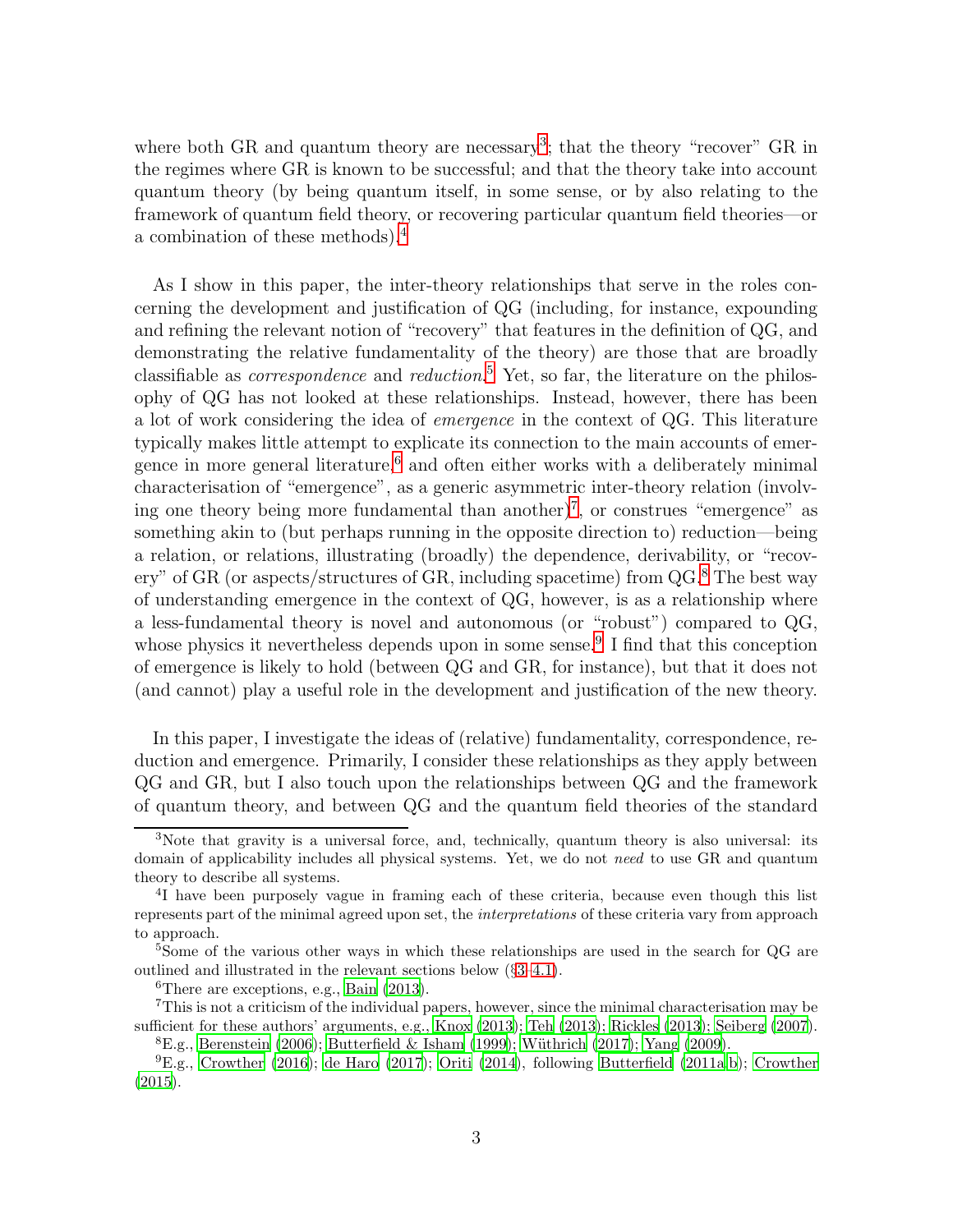where both GR and quantum theory are necessary<sup>[3](#page-2-0)</sup>; that the theory "recover" GR in the regimes where GR is known to be successful; and that the theory take into account quantum theory (by being quantum itself, in some sense, or by also relating to the framework of quantum field theory, or recovering particular quantum field theories—or a combination of these methods).[4](#page-2-1)

As I show in this paper, the inter-theory relationships that serve in the roles concerning the development and justification of QG (including, for instance, expounding and refining the relevant notion of "recovery" that features in the definition of QG, and demonstrating the relative fundamentality of the theory) are those that are broadly classifiable as *correspondence* and *reduction*.<sup>[5](#page-2-2)</sup> Yet, so far, the literature on the philosophy of QG has not looked at these relationships. Instead, however, there has been a lot of work considering the idea of emergence in the context of QG. This literature typically makes little attempt to explicate its connection to the main accounts of emergence in more general literature, $6$  and often either works with a deliberately minimal characterisation of "emergence", as a generic asymmetric inter-theory relation (involv-ing one theory being more fundamental than another)<sup>[7](#page-2-4)</sup>, or construes "emergence" as something akin to (but perhaps running in the opposite direction to) reduction—being a relation, or relations, illustrating (broadly) the dependence, derivability, or "recovery" of GR (or aspects/structures of GR, including spacetime) from QG.[8](#page-2-5) The best way of understanding emergence in the context of QG, however, is as a relationship where a less-fundamental theory is novel and autonomous (or "robust") compared to QG, whose physics it nevertheless depends upon in some sense.<sup>[9](#page-2-6)</sup> I find that this conception of emergence is likely to hold (between QG and GR, for instance), but that it does not (and cannot) play a useful role in the development and justification of the new theory.

In this paper, I investigate the ideas of (relative) fundamentality, correspondence, reduction and emergence. Primarily, I consider these relationships as they apply between QG and GR, but I also touch upon the relationships between QG and the framework of quantum theory, and between QG and the quantum field theories of the standard

<span id="page-2-0"></span><sup>3</sup>Note that gravity is a universal force, and, technically, quantum theory is also universal: its domain of applicability includes all physical systems. Yet, we do not need to use GR and quantum theory to describe all systems.

<span id="page-2-1"></span><sup>&</sup>lt;sup>4</sup>I have been purposely vague in framing each of these criteria, because even though this list represents part of the minimal agreed upon set, the interpretations of these criteria vary from approach to approach.

<sup>&</sup>lt;sup>5</sup>Some of the various other ways in which these relationships are used in the search for QG are outlined and illustrated in the relevant sections below (§[3](#page-7-0)[–4.1\)](#page-18-0).

<span id="page-2-3"></span><span id="page-2-2"></span> ${}^{6}$ There are exceptions, e.g., [Bain \(2013\)](#page-27-0).

<sup>7</sup>This is not a criticism of the individual papers, however, since the minimal characterisation may be sufficient for these authors' arguments, e.g., [Knox \(2013\)](#page-29-0); [Teh \(2013\)](#page-31-0); [Rickles \(2013](#page-30-0)); [Seiberg \(2007\)](#page-30-1).

<span id="page-2-5"></span><span id="page-2-4"></span> $E.g.,$  [Berenstein \(2006\)](#page-27-1); [Butterfield & Isham \(1999\)](#page-28-0); Wüthrich (2017); [Yang \(2009\)](#page-31-2).

<span id="page-2-6"></span> ${}^{9}E.g.,$  [Crowther \(2016\)](#page-28-1); [de Haro \(2017\)](#page-28-2); [Oriti \(2014\)](#page-30-2), following [Butterfield \(2011a](#page-27-2)[,b\)](#page-28-3); [Crowther](#page-28-4) [\(2015](#page-28-4)).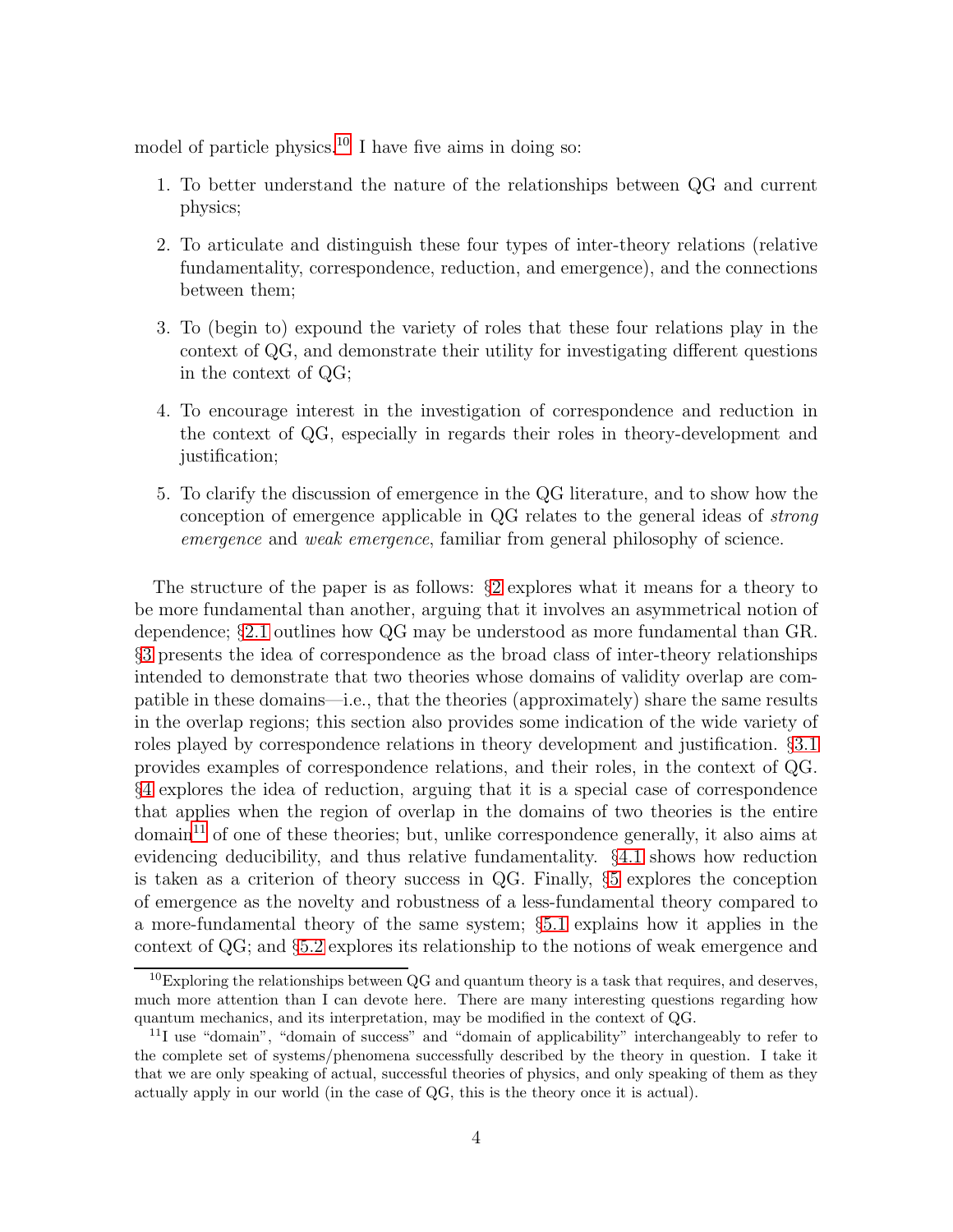model of particle physics.<sup>[10](#page-3-0)</sup> I have five aims in doing so:

- 1. To better understand the nature of the relationships between QG and current physics;
- 2. To articulate and distinguish these four types of inter-theory relations (relative fundamentality, correspondence, reduction, and emergence), and the connections between them;
- 3. To (begin to) expound the variety of roles that these four relations play in the context of QG, and demonstrate their utility for investigating different questions in the context of QG;
- 4. To encourage interest in the investigation of correspondence and reduction in the context of QG, especially in regards their roles in theory-development and justification;
- 5. To clarify the discussion of emergence in the QG literature, and to show how the conception of emergence applicable in QG relates to the general ideas of strong emergence and weak emergence, familiar from general philosophy of science.

The structure of the paper is as follows: §[2](#page-4-0) explores what it means for a theory to be more fundamental than another, arguing that it involves an asymmetrical notion of dependence; §[2.1](#page-5-0) outlines how QG may be understood as more fundamental than GR. §[3](#page-7-0) presents the idea of correspondence as the broad class of inter-theory relationships intended to demonstrate that two theories whose domains of validity overlap are compatible in these domains—i.e., that the theories (approximately) share the same results in the overlap regions; this section also provides some indication of the wide variety of roles played by correspondence relations in theory development and justification. §[3.1](#page-11-0) provides examples of correspondence relations, and their roles, in the context of QG. §[4](#page-15-0) explores the idea of reduction, arguing that it is a special case of correspondence that applies when the region of overlap in the domains of two theories is the entire  $\gamma$  domain<sup>[11](#page-3-1)</sup> of one of these theories; but, unlike correspondence generally, it also aims at evidencing deducibility, and thus relative fundamentality. §[4.1](#page-18-0) shows how reduction is taken as a criterion of theory success in QG. Finally, §[5](#page-19-0) explores the conception of emergence as the novelty and robustness of a less-fundamental theory compared to a more-fundamental theory of the same system; §[5.1](#page-21-0) explains how it applies in the context of QG; and §[5.2](#page-23-0) explores its relationship to the notions of weak emergence and

<span id="page-3-0"></span> $10E$ <sub>Exploring the relationships between QG and quantum theory is a task that requires, and deserves,</sub> much more attention than I can devote here. There are many interesting questions regarding how quantum mechanics, and its interpretation, may be modified in the context of QG.

<span id="page-3-1"></span><sup>&</sup>lt;sup>11</sup>I use "domain", "domain of success" and "domain of applicability" interchangeably to refer to the complete set of systems/phenomena successfully described by the theory in question. I take it that we are only speaking of actual, successful theories of physics, and only speaking of them as they actually apply in our world (in the case of QG, this is the theory once it is actual).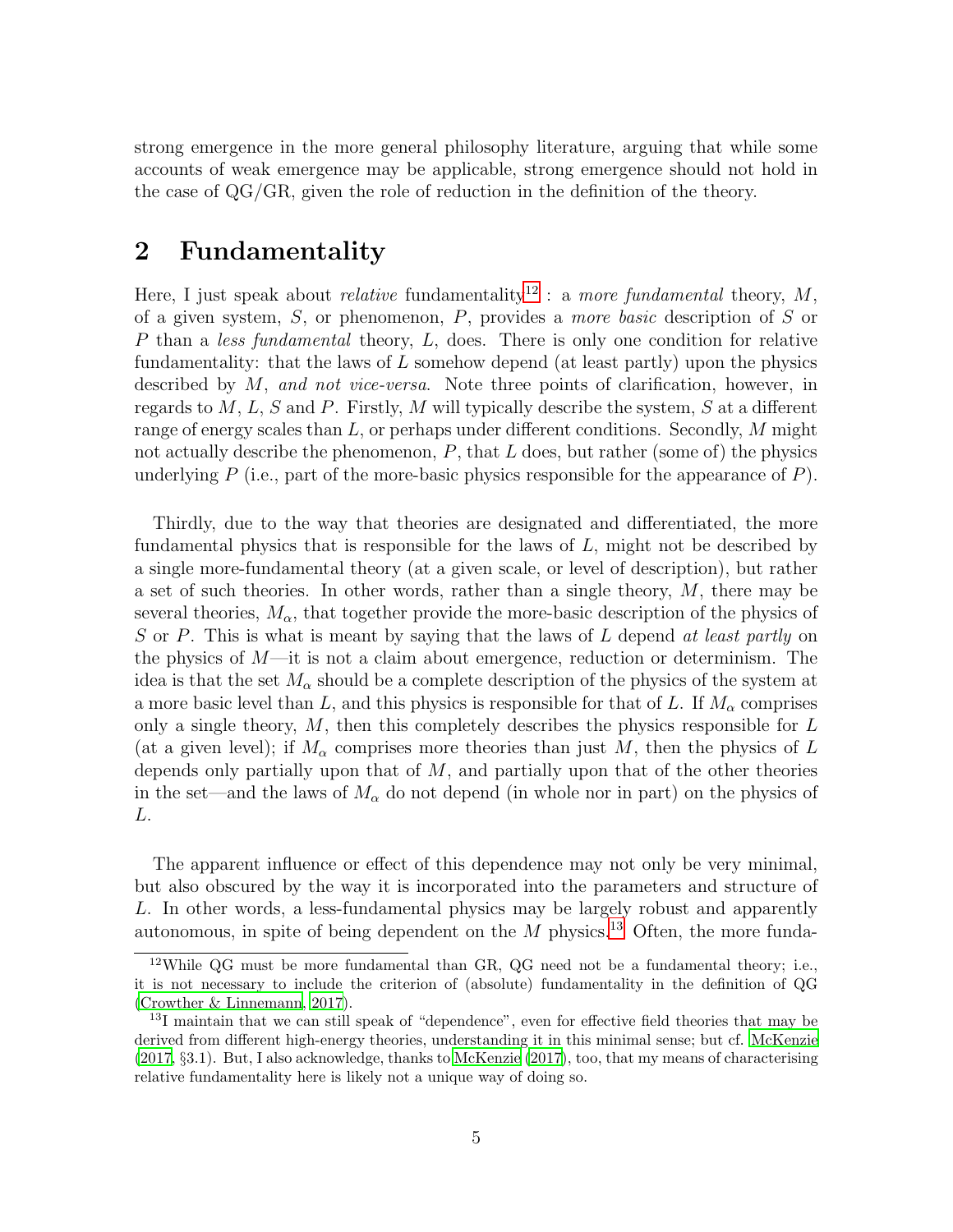strong emergence in the more general philosophy literature, arguing that while some accounts of weak emergence may be applicable, strong emergence should not hold in the case of QG/GR, given the role of reduction in the definition of the theory.

# <span id="page-4-0"></span>2 Fundamentality

Here, I just speak about *relative* fundamentality<sup>[12](#page-4-1)</sup>: a more fundamental theory, M, of a given system, S, or phenomenon, P, provides a more basic description of S or P than a less fundamental theory, L, does. There is only one condition for relative fundamentality: that the laws of  $L$  somehow depend (at least partly) upon the physics described by M, and not vice-versa. Note three points of clarification, however, in regards to  $M, L, S$  and P. Firstly, M will typically describe the system, S at a different range of energy scales than  $L$ , or perhaps under different conditions. Secondly, M might not actually describe the phenomenon,  $P$ , that  $L$  does, but rather (some of) the physics underlying  $P$  (i.e., part of the more-basic physics responsible for the appearance of  $P$ ).

Thirdly, due to the way that theories are designated and differentiated, the more fundamental physics that is responsible for the laws of L, might not be described by a single more-fundamental theory (at a given scale, or level of description), but rather a set of such theories. In other words, rather than a single theory,  $M$ , there may be several theories,  $M_{\alpha}$ , that together provide the more-basic description of the physics of S or P. This is what is meant by saying that the laws of  $L$  depend at least partly on the physics of  $M$ —it is not a claim about emergence, reduction or determinism. The idea is that the set  $M_{\alpha}$  should be a complete description of the physics of the system at a more basic level than L, and this physics is responsible for that of L. If  $M_{\alpha}$  comprises only a single theory,  $M$ , then this completely describes the physics responsible for  $L$ (at a given level); if  $M_{\alpha}$  comprises more theories than just M, then the physics of L depends only partially upon that of  $M$ , and partially upon that of the other theories in the set—and the laws of  $M_{\alpha}$  do not depend (in whole nor in part) on the physics of L.

The apparent influence or effect of this dependence may not only be very minimal, but also obscured by the way it is incorporated into the parameters and structure of L. In other words, a less-fundamental physics may be largely robust and apparently autonomous, in spite of being dependent on the  $M$  physics.<sup>[13](#page-4-2)</sup> Often, the more funda-

<span id="page-4-1"></span><sup>&</sup>lt;sup>12</sup>While QG must be more fundamental than GR, QG need not be a fundamental theory; i.e., it is not necessary to include the criterion of (absolute) fundamentality in the definition of QG [\(Crowther & Linnemann](#page-28-5), [2017](#page-28-5)).

<span id="page-4-2"></span><sup>&</sup>lt;sup>13</sup>I maintain that we can still speak of "dependence", even for effective field theories that may be derived from different high-energy theories, understanding it in this minimal sense; but cf. [McKenzie](#page-29-1) [\(2017](#page-29-1), §3.1). But, I also acknowledge, thanks to [McKenzie \(2017\)](#page-29-1), too, that my means of characterising relative fundamentality here is likely not a unique way of doing so.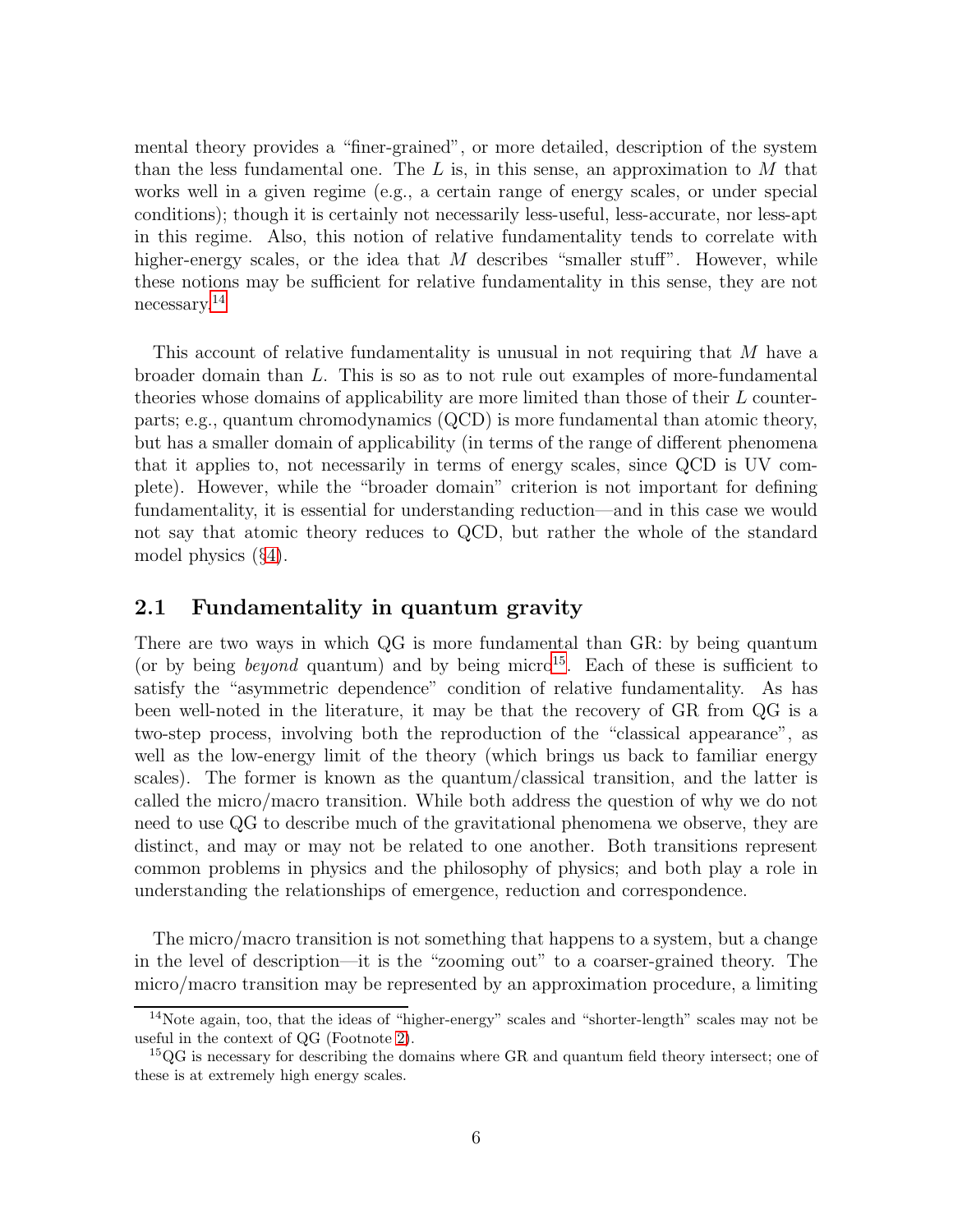mental theory provides a "finer-grained", or more detailed, description of the system than the less fundamental one. The  $L$  is, in this sense, an approximation to  $M$  that works well in a given regime (e.g., a certain range of energy scales, or under special conditions); though it is certainly not necessarily less-useful, less-accurate, nor less-apt in this regime. Also, this notion of relative fundamentality tends to correlate with higher-energy scales, or the idea that  $M$  describes "smaller stuff". However, while these notions may be sufficient for relative fundamentality in this sense, they are not necessary.[14](#page-5-1)

This account of relative fundamentality is unusual in not requiring that M have a broader domain than L. This is so as to not rule out examples of more-fundamental theories whose domains of applicability are more limited than those of their L counterparts; e.g., quantum chromodynamics (QCD) is more fundamental than atomic theory, but has a smaller domain of applicability (in terms of the range of different phenomena that it applies to, not necessarily in terms of energy scales, since QCD is UV complete). However, while the "broader domain" criterion is not important for defining fundamentality, it is essential for understanding reduction—and in this case we would not say that atomic theory reduces to QCD, but rather the whole of the standard model physics (§[4\)](#page-15-0).

#### <span id="page-5-0"></span>2.1 Fundamentality in quantum gravity

There are two ways in which QG is more fundamental than GR: by being quantum (or by being *beyond* quantum) and by being micro<sup>[15](#page-5-2)</sup>. Each of these is sufficient to satisfy the "asymmetric dependence" condition of relative fundamentality. As has been well-noted in the literature, it may be that the recovery of GR from QG is a two-step process, involving both the reproduction of the "classical appearance", as well as the low-energy limit of the theory (which brings us back to familiar energy scales). The former is known as the quantum/classical transition, and the latter is called the micro/macro transition. While both address the question of why we do not need to use QG to describe much of the gravitational phenomena we observe, they are distinct, and may or may not be related to one another. Both transitions represent common problems in physics and the philosophy of physics; and both play a role in understanding the relationships of emergence, reduction and correspondence.

The micro/macro transition is not something that happens to a system, but a change in the level of description—it is the "zooming out" to a coarser-grained theory. The micro/macro transition may be represented by an approximation procedure, a limiting

<span id="page-5-1"></span><sup>14</sup>Note again, too, that the ideas of "higher-energy" scales and "shorter-length" scales may not be useful in the context of QG (Footnote [2\)](#page-1-2).

<span id="page-5-2"></span><sup>&</sup>lt;sup>15</sup>QG is necessary for describing the domains where GR and quantum field theory intersect; one of these is at extremely high energy scales.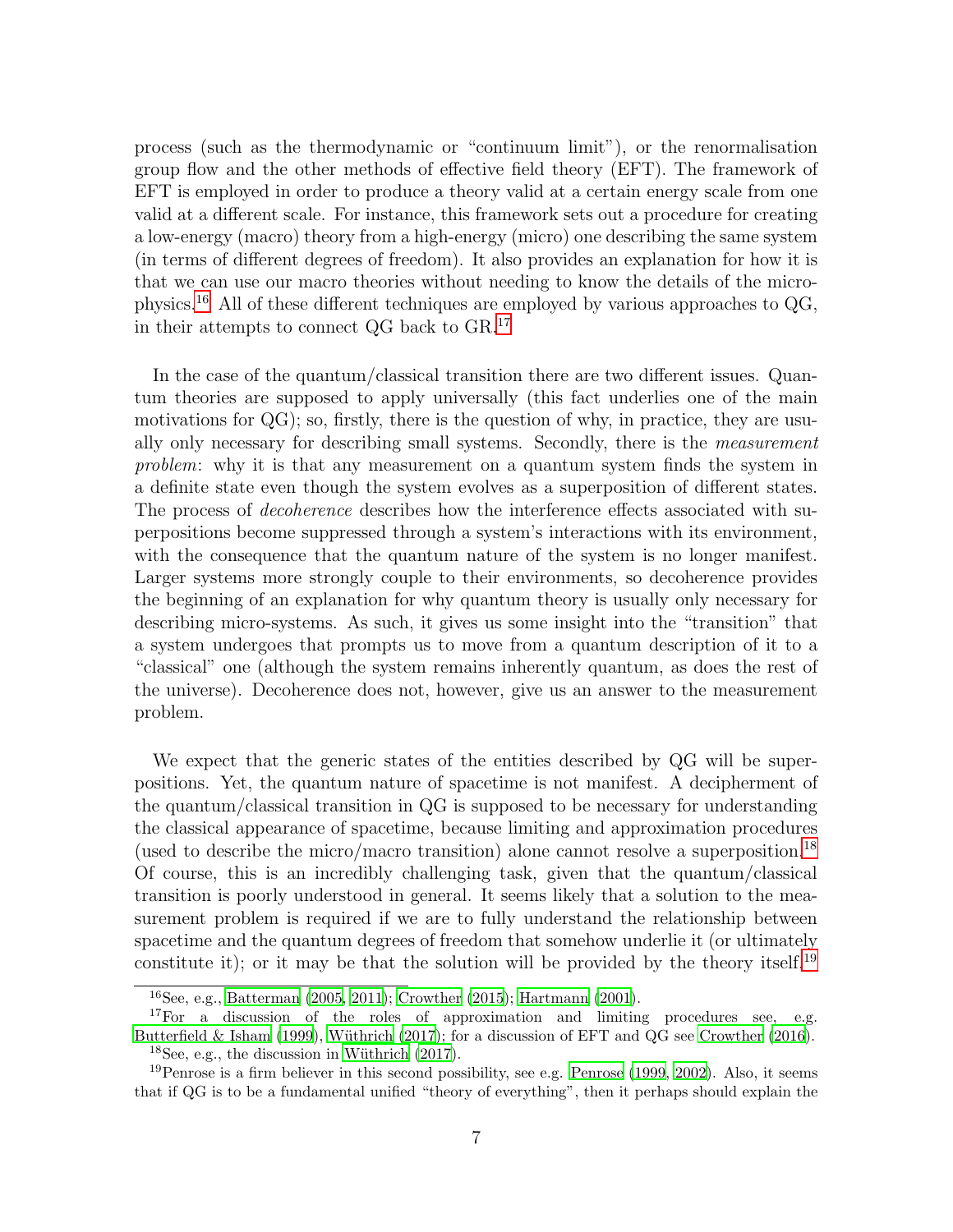process (such as the thermodynamic or "continuum limit"), or the renormalisation group flow and the other methods of effective field theory (EFT). The framework of EFT is employed in order to produce a theory valid at a certain energy scale from one valid at a different scale. For instance, this framework sets out a procedure for creating a low-energy (macro) theory from a high-energy (micro) one describing the same system (in terms of different degrees of freedom). It also provides an explanation for how it is that we can use our macro theories without needing to know the details of the microphysics.[16](#page-6-0) All of these different techniques are employed by various approaches to QG, in their attempts to connect QG back to GR.[17](#page-6-1)

In the case of the quantum/classical transition there are two different issues. Quantum theories are supposed to apply universally (this fact underlies one of the main motivations for  $Q\mathbf{G}$ ; so, firstly, there is the question of why, in practice, they are usually only necessary for describing small systems. Secondly, there is the measurement problem: why it is that any measurement on a quantum system finds the system in a definite state even though the system evolves as a superposition of different states. The process of *decoherence* describes how the interference effects associated with superpositions become suppressed through a system's interactions with its environment, with the consequence that the quantum nature of the system is no longer manifest. Larger systems more strongly couple to their environments, so decoherence provides the beginning of an explanation for why quantum theory is usually only necessary for describing micro-systems. As such, it gives us some insight into the "transition" that a system undergoes that prompts us to move from a quantum description of it to a "classical" one (although the system remains inherently quantum, as does the rest of the universe). Decoherence does not, however, give us an answer to the measurement problem.

We expect that the generic states of the entities described by QG will be superpositions. Yet, the quantum nature of spacetime is not manifest. A decipherment of the quantum/classical transition in QG is supposed to be necessary for understanding the classical appearance of spacetime, because limiting and approximation procedures (used to describe the micro/macro transition) alone cannot resolve a superposition.<sup>[18](#page-6-2)</sup> Of course, this is an incredibly challenging task, given that the quantum/classical transition is poorly understood in general. It seems likely that a solution to the measurement problem is required if we are to fully understand the relationship between spacetime and the quantum degrees of freedom that somehow underlie it (or ultimately constitute it); or it may be that the solution will be provided by the theory itself.<sup>[19](#page-6-3)</sup>

<span id="page-6-0"></span><sup>16</sup>See, e.g., [Batterman \(2005,](#page-27-3) [2011\)](#page-27-4); [Crowther \(2015\)](#page-28-4); [Hartmann](#page-29-2) [\(2001\)](#page-29-2).

<span id="page-6-1"></span><sup>&</sup>lt;sup>17</sup>For a discussion of the roles of approximation and limiting procedures see, e.g. [Butterfield & Isham \(1999](#page-28-0)), Wüthrich (2017); for a discussion of EFT and QG see [Crowther \(2016\)](#page-28-1).  $18$ See, e.g., the discussion in Wüthrich (2017).

<span id="page-6-3"></span><span id="page-6-2"></span> $19$ Penrose is a firm believer in this second possibility, see e.g. [Penrose \(1999,](#page-30-3) [2002\)](#page-30-4). Also, it seems that if QG is to be a fundamental unified "theory of everything", then it perhaps should explain the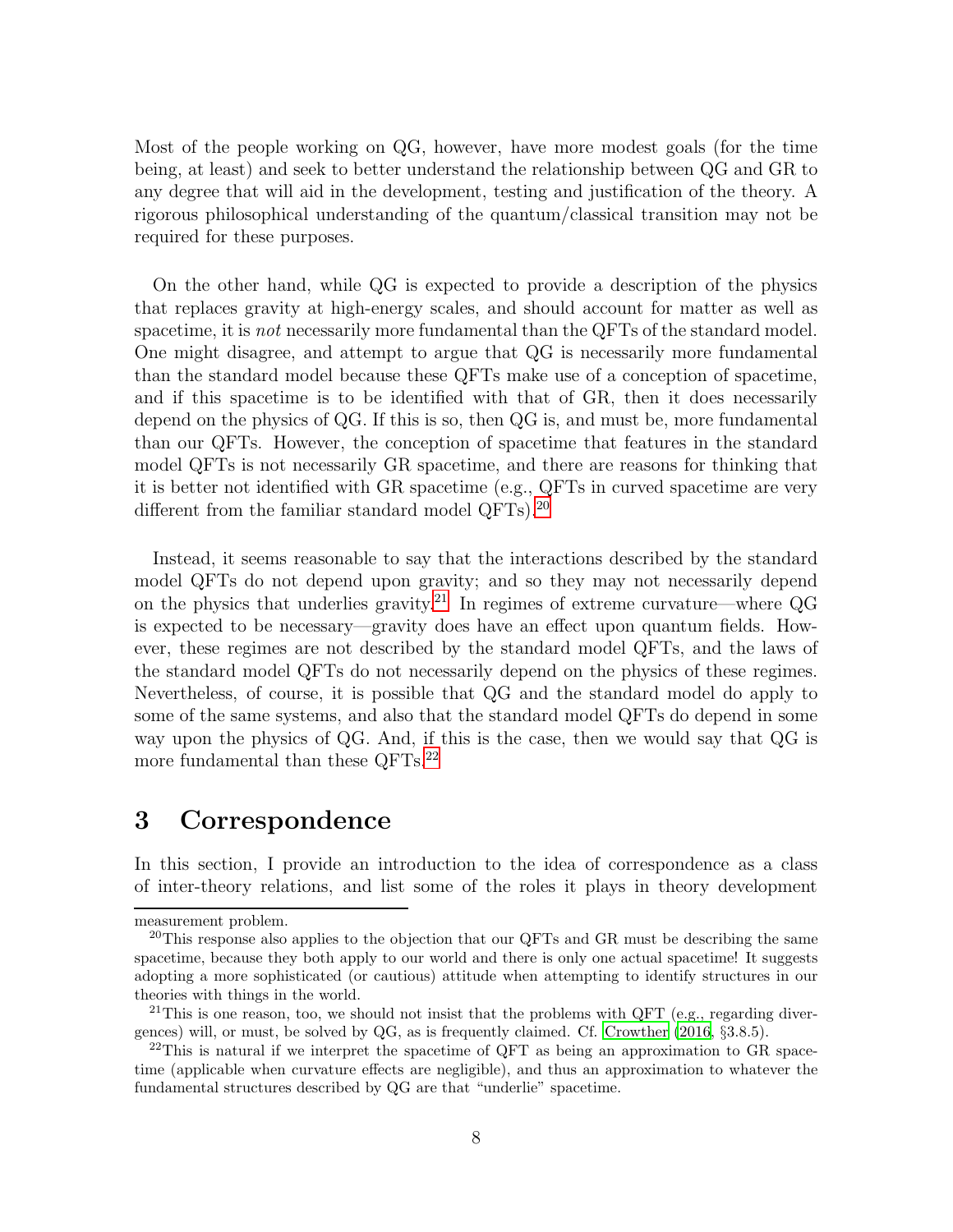Most of the people working on QG, however, have more modest goals (for the time being, at least) and seek to better understand the relationship between QG and GR to any degree that will aid in the development, testing and justification of the theory. A rigorous philosophical understanding of the quantum/classical transition may not be required for these purposes.

On the other hand, while QG is expected to provide a description of the physics that replaces gravity at high-energy scales, and should account for matter as well as spacetime, it is *not* necessarily more fundamental than the QFTs of the standard model. One might disagree, and attempt to argue that QG is necessarily more fundamental than the standard model because these QFTs make use of a conception of spacetime, and if this spacetime is to be identified with that of GR, then it does necessarily depend on the physics of QG. If this is so, then QG is, and must be, more fundamental than our QFTs. However, the conception of spacetime that features in the standard model QFTs is not necessarily GR spacetime, and there are reasons for thinking that it is better not identified with GR spacetime (e.g., QFTs in curved spacetime are very different from the familiar standard model QFTs).<sup>[20](#page-7-1)</sup>

Instead, it seems reasonable to say that the interactions described by the standard model QFTs do not depend upon gravity; and so they may not necessarily depend on the physics that underlies gravity.<sup>[21](#page-7-2)</sup> In regimes of extreme curvature—where  $\overline{Q}G$ is expected to be necessary—gravity does have an effect upon quantum fields. However, these regimes are not described by the standard model QFTs, and the laws of the standard model QFTs do not necessarily depend on the physics of these regimes. Nevertheless, of course, it is possible that QG and the standard model do apply to some of the same systems, and also that the standard model QFTs do depend in some way upon the physics of QG. And, if this is the case, then we would say that QG is more fundamental than these QFTs.<sup>[22](#page-7-3)</sup>

# <span id="page-7-0"></span>3 Correspondence

In this section, I provide an introduction to the idea of correspondence as a class of inter-theory relations, and list some of the roles it plays in theory development

measurement problem.

<span id="page-7-1"></span> $^{20}$ This response also applies to the objection that our QFTs and GR must be describing the same spacetime, because they both apply to our world and there is only one actual spacetime! It suggests adopting a more sophisticated (or cautious) attitude when attempting to identify structures in our theories with things in the world.

<span id="page-7-2"></span><sup>&</sup>lt;sup>21</sup>This is one reason, too, we should not insist that the problems with QFT (e.g., regarding divergences) will, or must, be solved by QG, as is frequently claimed. Cf. [Crowther \(2016,](#page-28-1) §3.8.5).

<span id="page-7-3"></span><sup>&</sup>lt;sup>22</sup>This is natural if we interpret the spacetime of QFT as being an approximation to GR spacetime (applicable when curvature effects are negligible), and thus an approximation to whatever the fundamental structures described by QG are that "underlie" spacetime.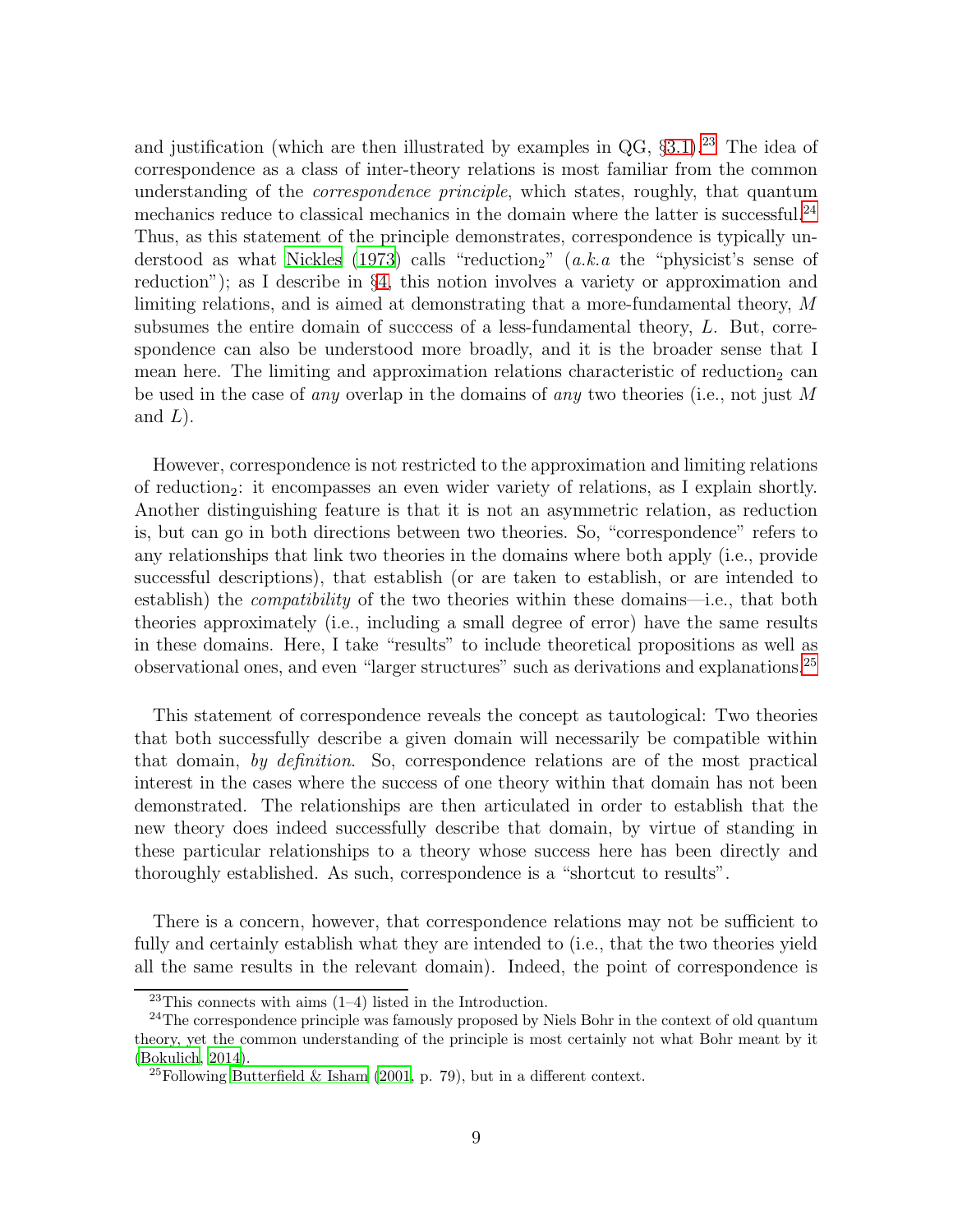and justification (which are then illustrated by examples in  $QG$ , §[3.1\)](#page-11-0).<sup>[23](#page-8-0)</sup> The idea of correspondence as a class of inter-theory relations is most familiar from the common understanding of the *correspondence principle*, which states, roughly, that quantum mechanics reduce to classical mechanics in the domain where the latter is successful.<sup>[24](#page-8-1)</sup> Thus, as this statement of the principle demonstrates, correspondence is typically un-derstood as what [Nickles \(1973\)](#page-30-5) calls "reduction<sub>2</sub>" (a.k.a the "physicist's sense of reduction"); as I describe in §[4,](#page-15-0) this notion involves a variety or approximation and limiting relations, and is aimed at demonstrating that a more-fundamental theory, M subsumes the entire domain of succcess of a less-fundamental theory, L. But, correspondence can also be understood more broadly, and it is the broader sense that I mean here. The limiting and approximation relations characteristic of reduction<sub>2</sub> can be used in the case of *any* overlap in the domains of *any* two theories (i.e., not just M and  $L$ ).

However, correspondence is not restricted to the approximation and limiting relations of reduction<sub>2</sub>: it encompasses an even wider variety of relations, as I explain shortly. Another distinguishing feature is that it is not an asymmetric relation, as reduction is, but can go in both directions between two theories. So, "correspondence" refers to any relationships that link two theories in the domains where both apply (i.e., provide successful descriptions), that establish (or are taken to establish, or are intended to establish) the compatibility of the two theories within these domains—i.e., that both theories approximately (i.e., including a small degree of error) have the same results in these domains. Here, I take "results" to include theoretical propositions as well as observational ones, and even "larger structures" such as derivations and explanations.[25](#page-8-2)

This statement of correspondence reveals the concept as tautological: Two theories that both successfully describe a given domain will necessarily be compatible within that domain, by definition. So, correspondence relations are of the most practical interest in the cases where the success of one theory within that domain has not been demonstrated. The relationships are then articulated in order to establish that the new theory does indeed successfully describe that domain, by virtue of standing in these particular relationships to a theory whose success here has been directly and thoroughly established. As such, correspondence is a "shortcut to results".

There is a concern, however, that correspondence relations may not be sufficient to fully and certainly establish what they are intended to (i.e., that the two theories yield all the same results in the relevant domain). Indeed, the point of correspondence is

<span id="page-8-0"></span> $23$ This connects with aims  $(1-4)$  listed in the Introduction.

<span id="page-8-1"></span><sup>&</sup>lt;sup>24</sup>The correspondence principle was famously proposed by Niels Bohr in the context of old quantum theory, yet the common understanding of the principle is most certainly not what Bohr meant by it [\(Bokulich](#page-27-5), [2014\)](#page-27-5).

<span id="page-8-2"></span><sup>&</sup>lt;sup>25</sup>Following [Butterfield & Isham \(2001,](#page-28-6) p. 79), but in a different context.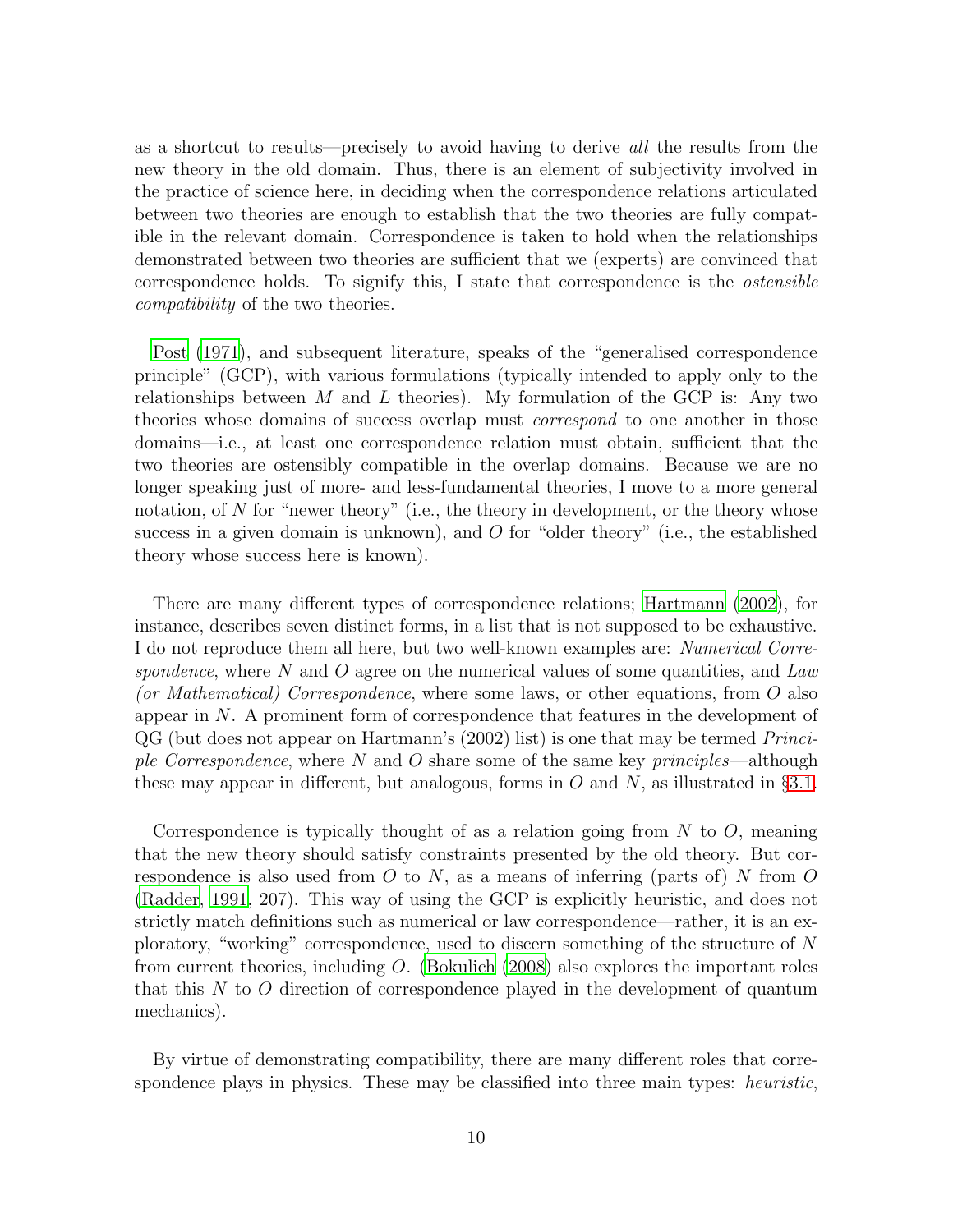as a shortcut to results—precisely to avoid having to derive all the results from the new theory in the old domain. Thus, there is an element of subjectivity involved in the practice of science here, in deciding when the correspondence relations articulated between two theories are enough to establish that the two theories are fully compatible in the relevant domain. Correspondence is taken to hold when the relationships demonstrated between two theories are sufficient that we (experts) are convinced that correspondence holds. To signify this, I state that correspondence is the ostensible compatibility of the two theories.

[Post \(1971\)](#page-30-6), and subsequent literature, speaks of the "generalised correspondence principle" (GCP), with various formulations (typically intended to apply only to the relationships between M and L theories). My formulation of the GCP is: Any two theories whose domains of success overlap must correspond to one another in those domains—i.e., at least one correspondence relation must obtain, sufficient that the two theories are ostensibly compatible in the overlap domains. Because we are no longer speaking just of more- and less-fundamental theories, I move to a more general notation, of  $N$  for "newer theory" (i.e., the theory in development, or the theory whose success in a given domain is unknown), and  $O$  for "older theory" (i.e., the established theory whose success here is known).

There are many different types of correspondence relations; [Hartmann \(2002\)](#page-29-3), for instance, describes seven distinct forms, in a list that is not supposed to be exhaustive. I do not reproduce them all here, but two well-known examples are: Numerical Correspondence, where  $N$  and  $O$  agree on the numerical values of some quantities, and Law (or Mathematical) Correspondence, where some laws, or other equations, from O also appear in N. A prominent form of correspondence that features in the development of QG (but does not appear on Hartmann's (2002) list) is one that may be termed Principle Correspondence, where  $N$  and  $O$  share some of the same key principles—although these may appear in different, but analogous, forms in O and N, as illustrated in  $\S 3.1$ .

Correspondence is typically thought of as a relation going from  $N$  to  $O$ , meaning that the new theory should satisfy constraints presented by the old theory. But correspondence is also used from O to N, as a means of inferring (parts of) N from O [\(Radder](#page-30-7), [1991](#page-30-7), 207). This way of using the GCP is explicitly heuristic, and does not strictly match definitions such as numerical or law correspondence—rather, it is an exploratory, "working" correspondence, used to discern something of the structure of N from current theories, including O. [\(Bokulich \(2008](#page-27-6)) also explores the important roles that this  $N$  to  $O$  direction of correspondence played in the development of quantum mechanics).

By virtue of demonstrating compatibility, there are many different roles that correspondence plays in physics. These may be classified into three main types: *heuristic*,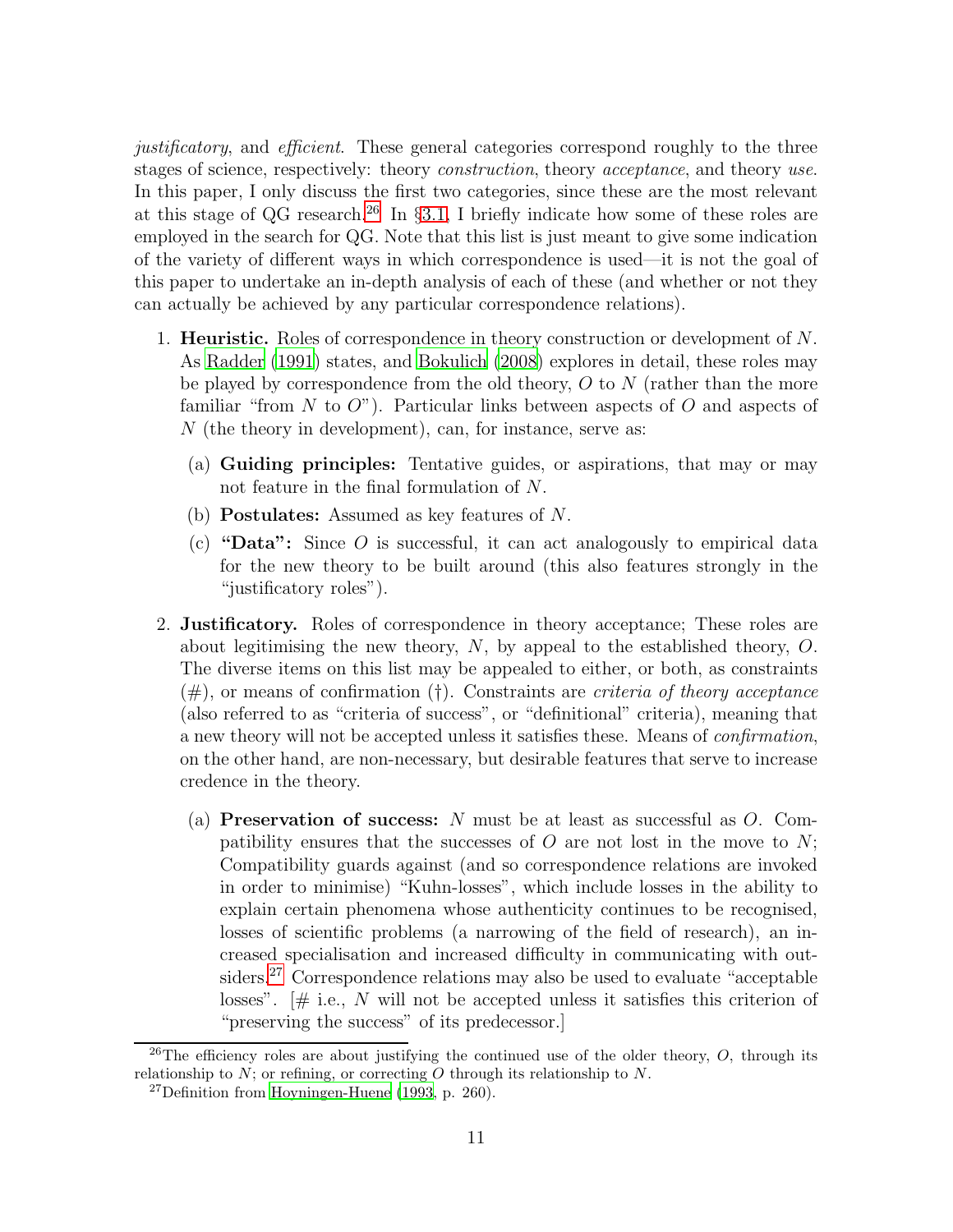justificatory, and efficient. These general categories correspond roughly to the three stages of science, respectively: theory *construction*, theory *acceptance*, and theory *use*. In this paper, I only discuss the first two categories, since these are the most relevant at this stage of QG research.<sup>[26](#page-10-0)</sup> In §[3.1,](#page-11-0) I briefly indicate how some of these roles are employed in the search for QG. Note that this list is just meant to give some indication of the variety of different ways in which correspondence is used—it is not the goal of this paper to undertake an in-depth analysis of each of these (and whether or not they can actually be achieved by any particular correspondence relations).

- 1. Heuristic. Roles of correspondence in theory construction or development of N. As [Radder \(1991\)](#page-30-7) states, and [Bokulich \(2008](#page-27-6)) explores in detail, these roles may be played by correspondence from the old theory,  $O$  to  $N$  (rather than the more familiar "from N to  $O$ "). Particular links between aspects of O and aspects of  $N$  (the theory in development), can, for instance, serve as:
	- (a) Guiding principles: Tentative guides, or aspirations, that may or may not feature in the final formulation of N.
	- (b) Postulates: Assumed as key features of N.
	- (c) "Data": Since  $O$  is successful, it can act analogously to empirical data for the new theory to be built around (this also features strongly in the "justificatory roles").
- 2. Justificatory. Roles of correspondence in theory acceptance; These roles are about legitimising the new theory,  $N$ , by appeal to the established theory,  $O$ . The diverse items on this list may be appealed to either, or both, as constraints  $(\#)$ , or means of confirmation (†). Constraints are *criteria of theory acceptance* (also referred to as "criteria of success", or "definitional" criteria), meaning that a new theory will not be accepted unless it satisfies these. Means of confirmation, on the other hand, are non-necessary, but desirable features that serve to increase credence in the theory.
	- (a) **Preservation of success:** N must be at least as successful as  $O$ . Compatibility ensures that the successes of  $O$  are not lost in the move to  $N$ ; Compatibility guards against (and so correspondence relations are invoked in order to minimise) "Kuhn-losses", which include losses in the ability to explain certain phenomena whose authenticity continues to be recognised, losses of scientific problems (a narrowing of the field of research), an increased specialisation and increased difficulty in communicating with out-siders.<sup>[27](#page-10-1)</sup> Correspondence relations may also be used to evaluate "acceptable" losses".  $\sharp$  i.e., N will not be accepted unless it satisfies this criterion of "preserving the success" of its predecessor.]

<sup>&</sup>lt;sup>26</sup>The efficiency roles are about justifying the continued use of the older theory, O, through its relationship to  $N$ ; or refining, or correcting  $O$  through its relationship to  $N$ .

<span id="page-10-1"></span><span id="page-10-0"></span> $27$ Definition from [Hoyningen-Huene \(1993,](#page-29-4) p. 260).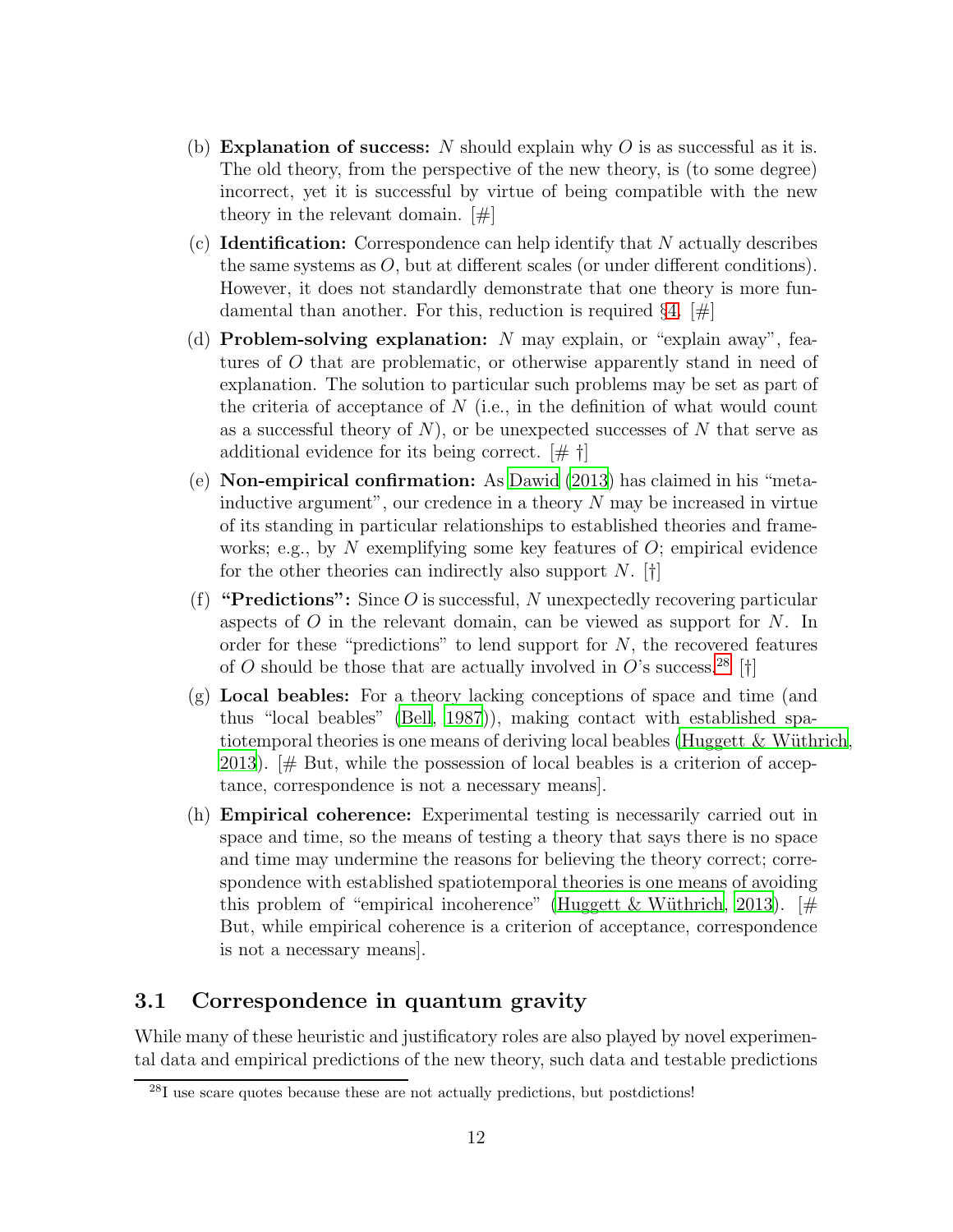- (b) **Explanation of success:** N should explain why O is as successful as it is. The old theory, from the perspective of the new theory, is (to some degree) incorrect, yet it is successful by virtue of being compatible with the new theory in the relevant domain. [#]
- $(c)$  **Identification:** Correspondence can help identify that N actually describes the same systems as  $O$ , but at different scales (or under different conditions). However, it does not standardly demonstrate that one theory is more fundamental than another. For this, reduction is required  $\S 4$ .  $\#$
- (d) **Problem-solving explanation:** N may explain, or "explain away", features of O that are problematic, or otherwise apparently stand in need of explanation. The solution to particular such problems may be set as part of the criteria of acceptance of  $N$  (i.e., in the definition of what would count as a successful theory of  $N$ ), or be unexpected successes of N that serve as additional evidence for its being correct. [# †]
- (e) Non-empirical confirmation: As [Dawid \(2013\)](#page-28-7) has claimed in his "metainductive argument", our credence in a theory  $N$  may be increased in virtue of its standing in particular relationships to established theories and frameworks; e.g., by N exemplifying some key features of  $O$ ; empirical evidence for the other theories can indirectly also support N.  $\lbrack \dagger \rbrack$
- (f) "Predictions": Since O is successful, N unexpectedly recovering particular aspects of  $O$  in the relevant domain, can be viewed as support for  $N$ . In order for these "predictions" to lend support for  $N$ , the recovered features of O should be those that are actually involved in O's success.<sup>[28](#page-11-1)</sup> [†]
- (g) Local beables: For a theory lacking conceptions of space and time (and thus "local beables" [\(Bell, 1987](#page-27-7))), making contact with established spatiotemporal theories is one means of deriving local beables (Huggett  $&$  Wüthrich, [2013\)](#page-29-5).  $\sharp$  But, while the possession of local beables is a criterion of acceptance, correspondence is not a necessary means].
- (h) Empirical coherence: Experimental testing is necessarily carried out in space and time, so the means of testing a theory that says there is no space and time may undermine the reasons for believing the theory correct; correspondence with established spatiotemporal theories is one means of avoiding this problem of "empirical incoherence" (Huggett & Wüthrich, [2013\)](#page-29-5). [# But, while empirical coherence is a criterion of acceptance, correspondence is not a necessary means].

### <span id="page-11-0"></span>3.1 Correspondence in quantum gravity

While many of these heuristic and justificatory roles are also played by novel experimental data and empirical predictions of the new theory, such data and testable predictions

<span id="page-11-1"></span> $^{28}I$  use scare quotes because these are not actually predictions, but postdictions!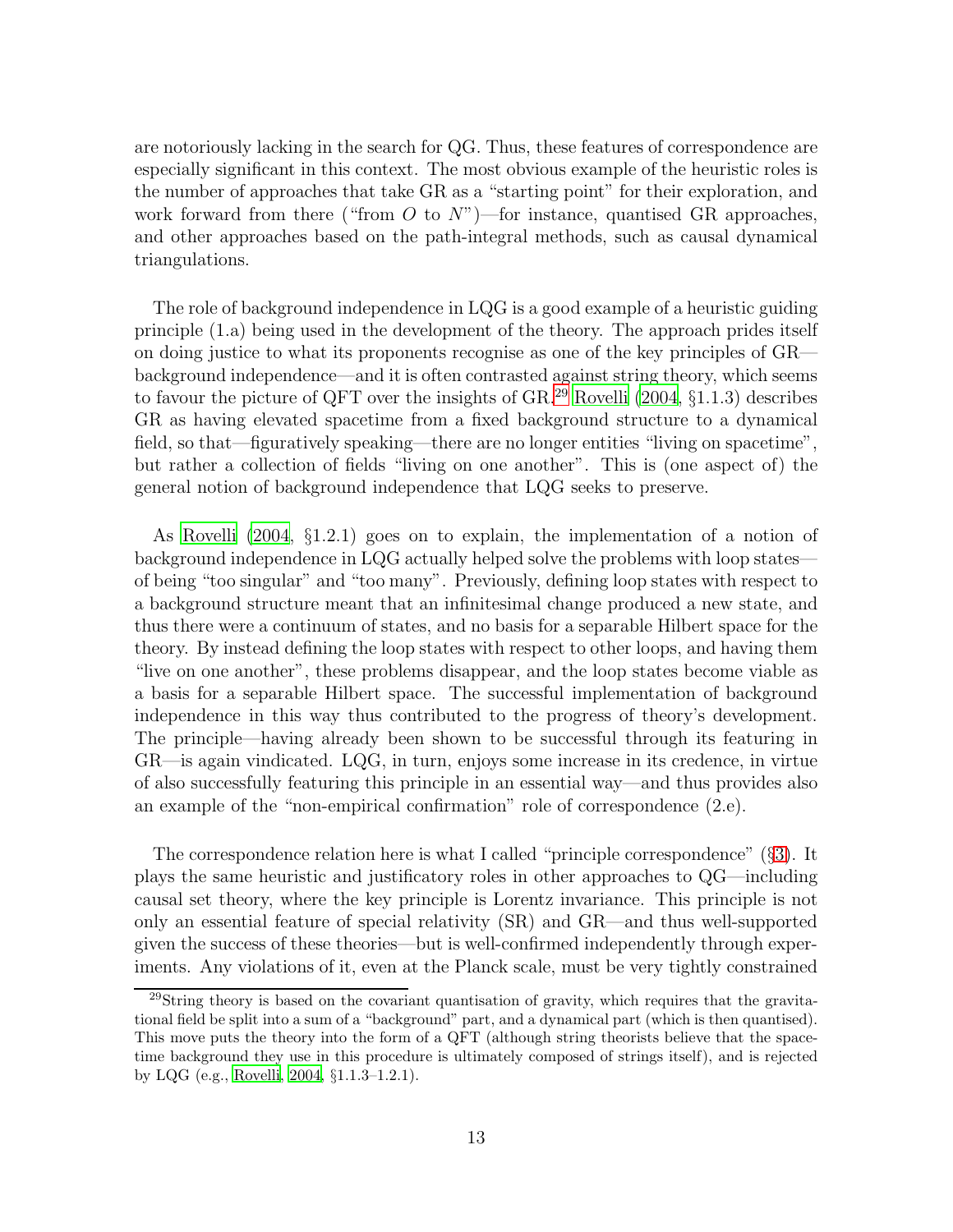are notoriously lacking in the search for QG. Thus, these features of correspondence are especially significant in this context. The most obvious example of the heuristic roles is the number of approaches that take GR as a "starting point" for their exploration, and work forward from there ("from O to  $N$ ")—for instance, quantised GR approaches, and other approaches based on the path-integral methods, such as causal dynamical triangulations.

The role of background independence in LQG is a good example of a heuristic guiding principle (1.a) being used in the development of the theory. The approach prides itself on doing justice to what its proponents recognise as one of the key principles of GR background independence—and it is often contrasted against string theory, which seems to favour the picture of QFT over the insights of  $GR.^{29}$  $GR.^{29}$  $GR.^{29}$  [Rovelli \(2004,](#page-30-8) §1.1.3) describes GR as having elevated spacetime from a fixed background structure to a dynamical field, so that—figuratively speaking—there are no longer entities "living on spacetime", but rather a collection of fields "living on one another". This is (one aspect of) the general notion of background independence that LQG seeks to preserve.

As [Rovelli \(2004](#page-30-8), §1.2.1) goes on to explain, the implementation of a notion of background independence in LQG actually helped solve the problems with loop states of being "too singular" and "too many". Previously, defining loop states with respect to a background structure meant that an infinitesimal change produced a new state, and thus there were a continuum of states, and no basis for a separable Hilbert space for the theory. By instead defining the loop states with respect to other loops, and having them "live on one another", these problems disappear, and the loop states become viable as a basis for a separable Hilbert space. The successful implementation of background independence in this way thus contributed to the progress of theory's development. The principle—having already been shown to be successful through its featuring in GR—is again vindicated. LQG, in turn, enjoys some increase in its credence, in virtue of also successfully featuring this principle in an essential way—and thus provides also an example of the "non-empirical confirmation" role of correspondence (2.e).

The correspondence relation here is what I called "principle correspondence" (§[3\)](#page-7-0). It plays the same heuristic and justificatory roles in other approaches to QG—including causal set theory, where the key principle is Lorentz invariance. This principle is not only an essential feature of special relativity (SR) and GR—and thus well-supported given the success of these theories—but is well-confirmed independently through experiments. Any violations of it, even at the Planck scale, must be very tightly constrained

<span id="page-12-0"></span><sup>&</sup>lt;sup>29</sup>String theory is based on the covariant quantisation of gravity, which requires that the gravitational field be split into a sum of a "background" part, and a dynamical part (which is then quantised). This move puts the theory into the form of a QFT (although string theorists believe that the spacetime background they use in this procedure is ultimately composed of strings itself), and is rejected by LQG (e.g., [Rovelli, 2004](#page-30-8), §1.1.3–1.2.1).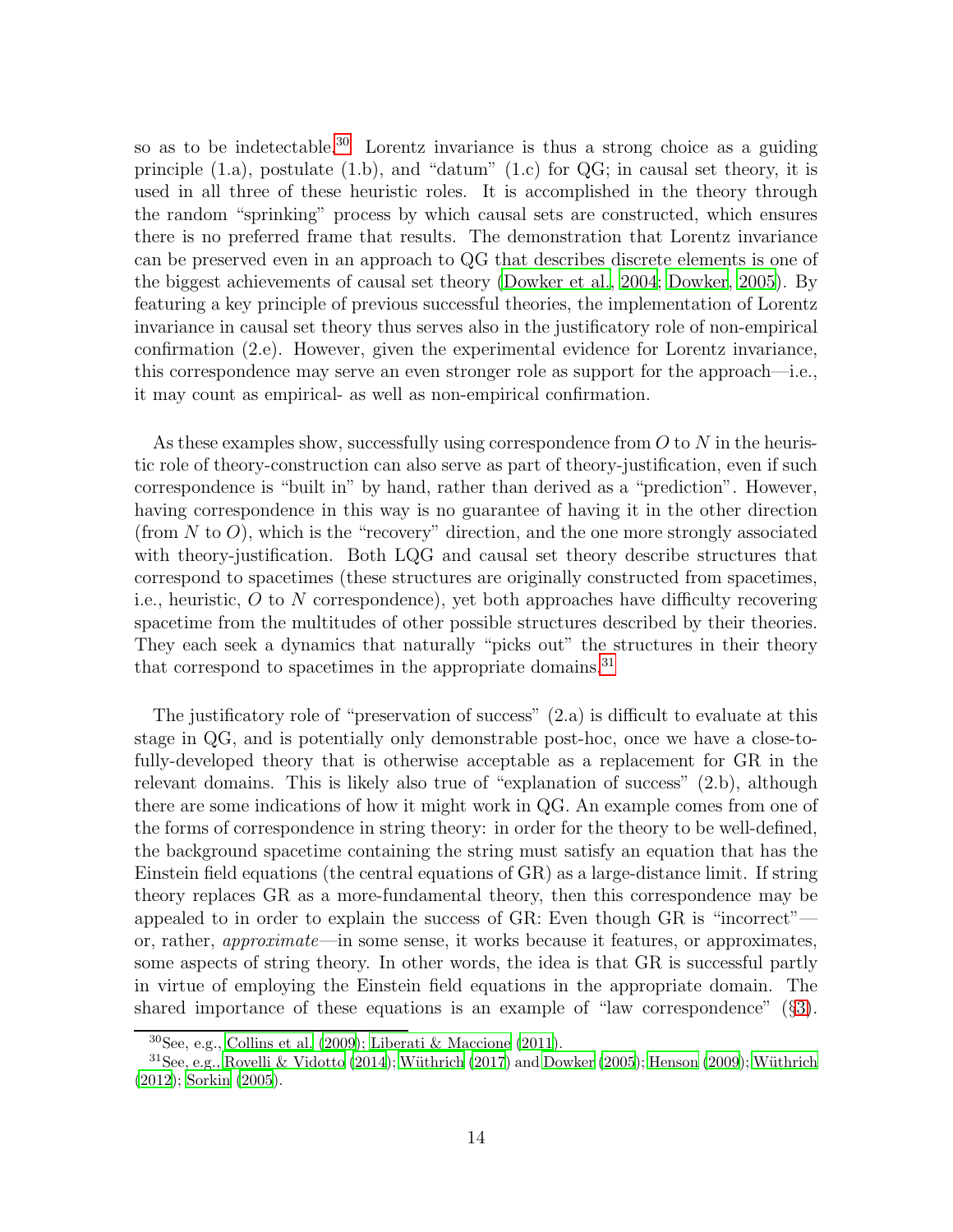so as to be indetectable.[30](#page-13-0) Lorentz invariance is thus a strong choice as a guiding principle  $(1.a)$ , postulate  $(1.b)$ , and "datum"  $(1.c)$  for  $QG$ ; in causal set theory, it is used in all three of these heuristic roles. It is accomplished in the theory through the random "sprinking" process by which causal sets are constructed, which ensures there is no preferred frame that results. The demonstration that Lorentz invariance can be preserved even in an approach to QG that describes discrete elements is one of the biggest achievements of causal set theory [\(Dowker et al.](#page-29-6), [2004;](#page-29-6) [Dowker, 2005](#page-29-7)). By featuring a key principle of previous successful theories, the implementation of Lorentz invariance in causal set theory thus serves also in the justificatory role of non-empirical confirmation (2.e). However, given the experimental evidence for Lorentz invariance, this correspondence may serve an even stronger role as support for the approach—i.e., it may count as empirical- as well as non-empirical confirmation.

As these examples show, successfully using correspondence from  $O$  to  $N$  in the heuristic role of theory-construction can also serve as part of theory-justification, even if such correspondence is "built in" by hand, rather than derived as a "prediction". However, having correspondence in this way is no guarantee of having it in the other direction (from  $N$  to  $O$ ), which is the "recovery" direction, and the one more strongly associated with theory-justification. Both LQG and causal set theory describe structures that correspond to spacetimes (these structures are originally constructed from spacetimes, i.e., heuristic,  $O$  to  $N$  correspondence), yet both approaches have difficulty recovering spacetime from the multitudes of other possible structures described by their theories. They each seek a dynamics that naturally "picks out" the structures in their theory that correspond to spacetimes in the appropriate domains.<sup>[31](#page-13-1)</sup>

The justificatory role of "preservation of success" (2.a) is difficult to evaluate at this stage in QG, and is potentially only demonstrable post-hoc, once we have a close-tofully-developed theory that is otherwise acceptable as a replacement for GR in the relevant domains. This is likely also true of "explanation of success" (2.b), although there are some indications of how it might work in QG. An example comes from one of the forms of correspondence in string theory: in order for the theory to be well-defined, the background spacetime containing the string must satisfy an equation that has the Einstein field equations (the central equations of GR) as a large-distance limit. If string theory replaces GR as a more-fundamental theory, then this correspondence may be appealed to in order to explain the success of GR: Even though GR is "incorrect" or, rather, approximate—in some sense, it works because it features, or approximates, some aspects of string theory. In other words, the idea is that GR is successful partly in virtue of employing the Einstein field equations in the appropriate domain. The shared importance of these equations is an example of "law correspondence" (§[3\)](#page-7-0).

<span id="page-13-0"></span> $30$ See, e.g., [Collins et al. \(2009\)](#page-28-8); [Liberati & Maccione \(2011](#page-29-8)).

<span id="page-13-1"></span> $31$ See, e.g., [Rovelli & Vidotto \(2014](#page-30-9)); Wüthrich (2017) and [Dowker \(2005](#page-29-7)); [Henson \(2009](#page-29-9)); Wüthrich [\(2012](#page-31-3)); [Sorkin \(2005](#page-30-10)).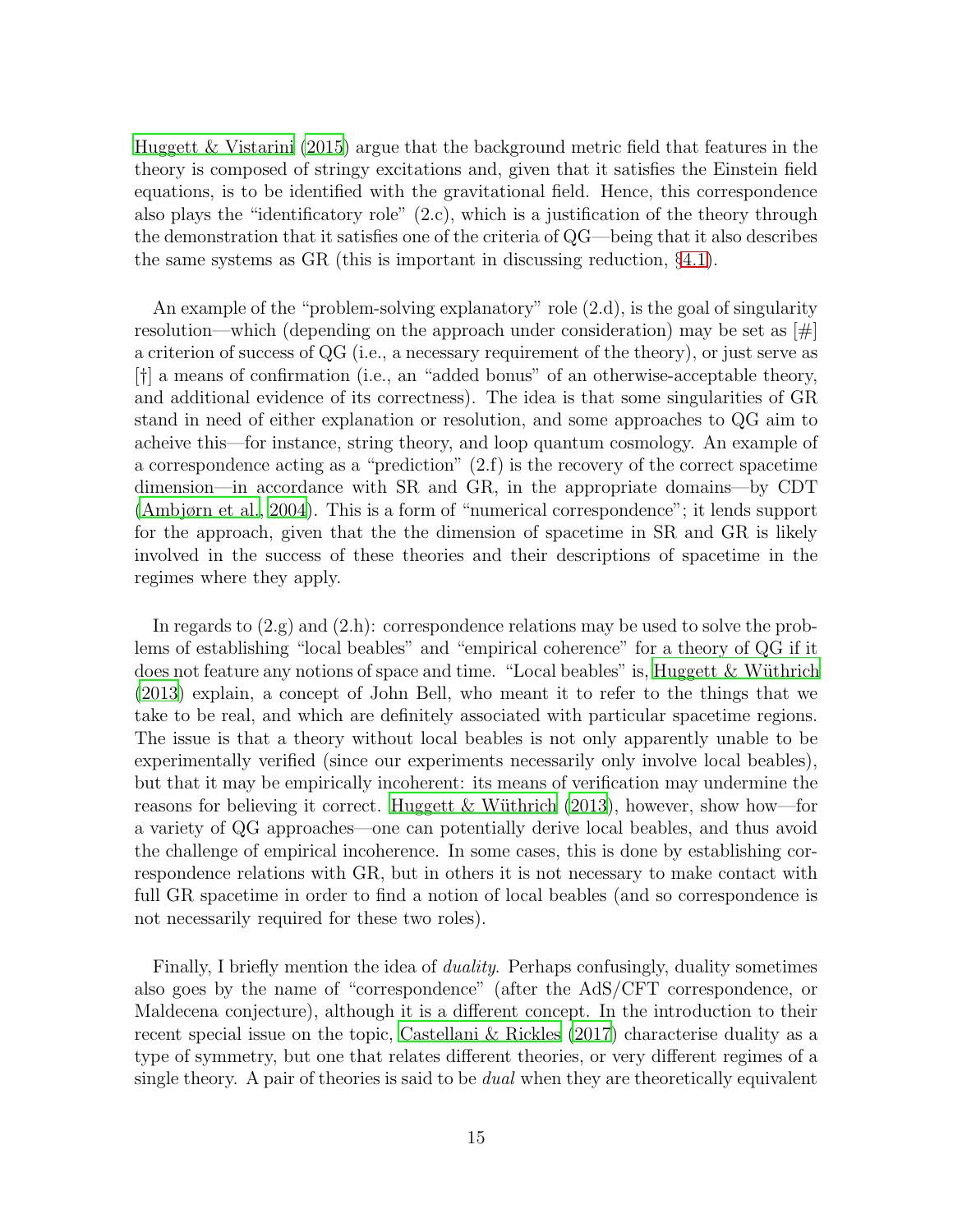[Huggett & Vistarini \(2015\)](#page-29-10) argue that the background metric field that features in the theory is composed of stringy excitations and, given that it satisfies the Einstein field equations, is to be identified with the gravitational field. Hence, this correspondence also plays the "identificatory role" (2.c), which is a justification of the theory through the demonstration that it satisfies one of the criteria of QG—being that it also describes the same systems as GR (this is important in discussing reduction, §[4.1\)](#page-18-0).

An example of the "problem-solving explanatory" role (2.d), is the goal of singularity resolution—which (depending on the approach under consideration) may be set as  $[\#]$ a criterion of success of QG (i.e., a necessary requirement of the theory), or just serve as [†] a means of confirmation (i.e., an "added bonus" of an otherwise-acceptable theory, and additional evidence of its correctness). The idea is that some singularities of GR stand in need of either explanation or resolution, and some approaches to QG aim to acheive this—for instance, string theory, and loop quantum cosmology. An example of a correspondence acting as a "prediction"  $(2.f)$  is the recovery of the correct spacetime dimension—in accordance with SR and GR, in the appropriate domains—by CDT [\(Ambjørn et al., 2004\)](#page-27-8). This is a form of "numerical correspondence"; it lends support for the approach, given that the the dimension of spacetime in SR and GR is likely involved in the success of these theories and their descriptions of spacetime in the regimes where they apply.

In regards to  $(2,g)$  and  $(2,h)$ : correspondence relations may be used to solve the problems of establishing "local beables" and "empirical coherence" for a theory of QG if it does not feature any notions of space and time. "Local beables" is, [Huggett & W¨uthrich](#page-29-5) [\(2013](#page-29-5)) explain, a concept of John Bell, who meant it to refer to the things that we take to be real, and which are definitely associated with particular spacetime regions. The issue is that a theory without local beables is not only apparently unable to be experimentally verified (since our experiments necessarily only involve local beables), but that it may be empirically incoherent: its means of verification may undermine the reasons for believing it correct. Huggett & Wüthrich (2013), however, show how—for a variety of QG approaches—one can potentially derive local beables, and thus avoid the challenge of empirical incoherence. In some cases, this is done by establishing correspondence relations with GR, but in others it is not necessary to make contact with full GR spacetime in order to find a notion of local beables (and so correspondence is not necessarily required for these two roles).

Finally, I briefly mention the idea of duality. Perhaps confusingly, duality sometimes also goes by the name of "correspondence" (after the AdS/CFT correspondence, or Maldecena conjecture), although it is a different concept. In the introduction to their recent special issue on the topic, [Castellani & Rickles \(2017\)](#page-28-9) characterise duality as a type of symmetry, but one that relates different theories, or very different regimes of a single theory. A pair of theories is said to be *dual* when they are theoretically equivalent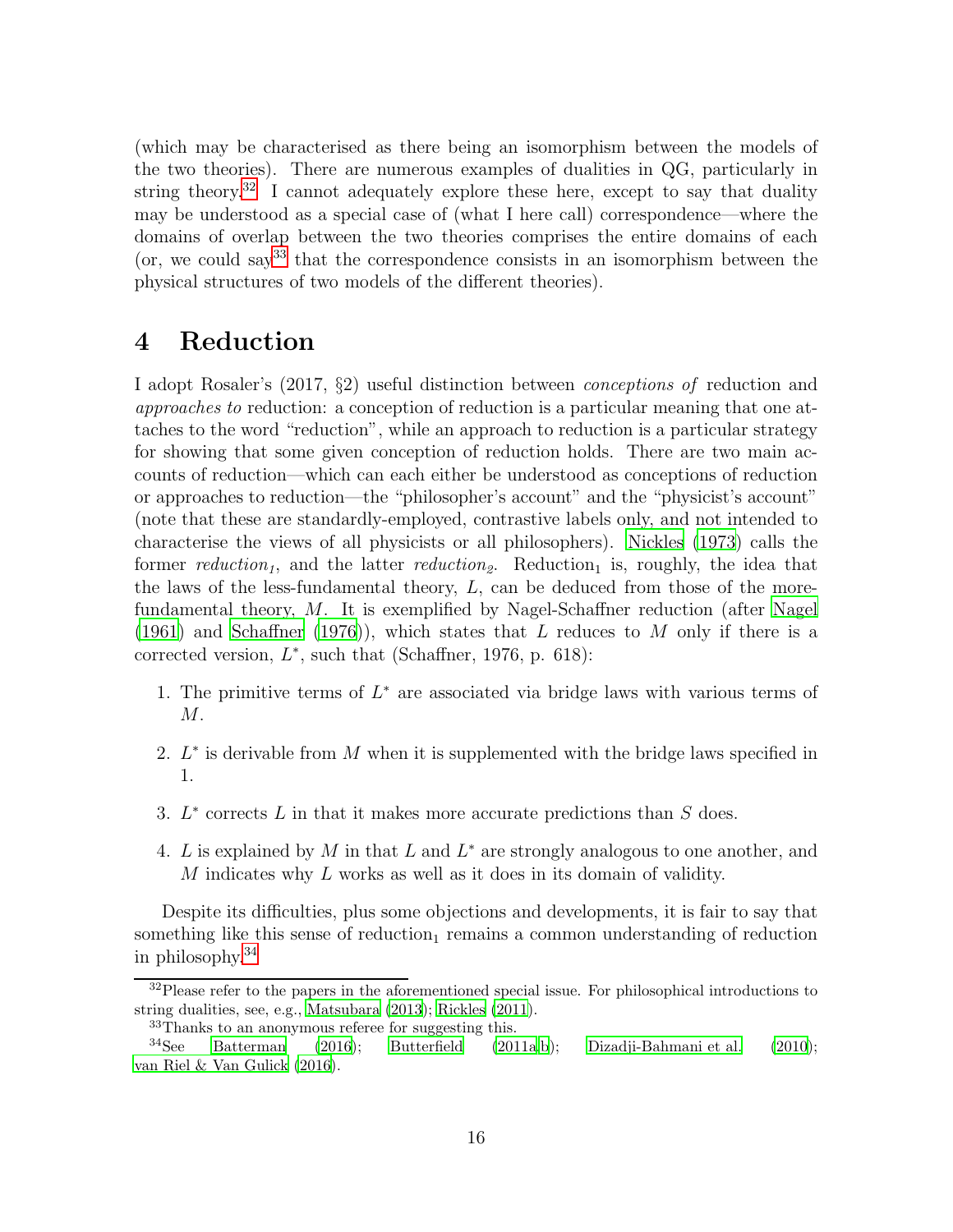(which may be characterised as there being an isomorphism between the models of the two theories). There are numerous examples of dualities in QG, particularly in string theory.<sup>[32](#page-15-1)</sup> I cannot adequately explore these here, except to say that duality may be understood as a special case of (what I here call) correspondence—where the domains of overlap between the two theories comprises the entire domains of each (or, we could say  $33$  that the correspondence consists in an isomorphism between the physical structures of two models of the different theories).

## <span id="page-15-0"></span>4 Reduction

I adopt Rosaler's (2017, §2) useful distinction between conceptions of reduction and approaches to reduction: a conception of reduction is a particular meaning that one attaches to the word "reduction", while an approach to reduction is a particular strategy for showing that some given conception of reduction holds. There are two main accounts of reduction—which can each either be understood as conceptions of reduction or approaches to reduction—the "philosopher's account" and the "physicist's account" (note that these are standardly-employed, contrastive labels only, and not intended to characterise the views of all physicists or all philosophers). [Nickles](#page-30-5) [\(1973\)](#page-30-5) calls the former reduction<sub>1</sub>, and the latter reduction<sub>2</sub>. Reduction<sub>1</sub> is, roughly, the idea that the laws of the less-fundamental theory,  $L$ , can be deduced from those of the morefundamental theory, M. It is exemplified by Nagel-Schaffner reduction (after [Nagel](#page-30-11) [\(1961](#page-30-11)) and [Schaffner \(1976](#page-30-12))), which states that L reduces to M only if there is a corrected version,  $L^*$ , such that (Schaffner, 1976, p. 618):

- 1. The primitive terms of  $L^*$  are associated via bridge laws with various terms of  $M$ .
- 2.  $L^*$  is derivable from M when it is supplemented with the bridge laws specified in 1.
- 3.  $L^*$  corrects  $L$  in that it makes more accurate predictions than  $S$  does.
- 4. L is explained by M in that L and  $L^*$  are strongly analogous to one another, and  $M$  indicates why  $L$  works as well as it does in its domain of validity.

Despite its difficulties, plus some objections and developments, it is fair to say that something like this sense of reduction<sub>1</sub> remains a common understanding of reduction in philosophy.[34](#page-15-3)

 $32$ Please refer to the papers in the aforementioned special issue. For philosophical introductions to string dualities, see, e.g., [Matsubara \(2013](#page-29-11)); [Rickles \(2011\)](#page-30-13).

<span id="page-15-2"></span><span id="page-15-1"></span><sup>33</sup>Thanks to an anonymous referee for suggesting this.

<span id="page-15-3"></span> $34$ See [Batterman \(2016\)](#page-27-9); [Butterfield \(2011a](#page-27-2)[,b](#page-28-3)); [Dizadji-Bahmani et al. \(2010\)](#page-28-10); [van Riel & Van Gulick \(2016\)](#page-31-4).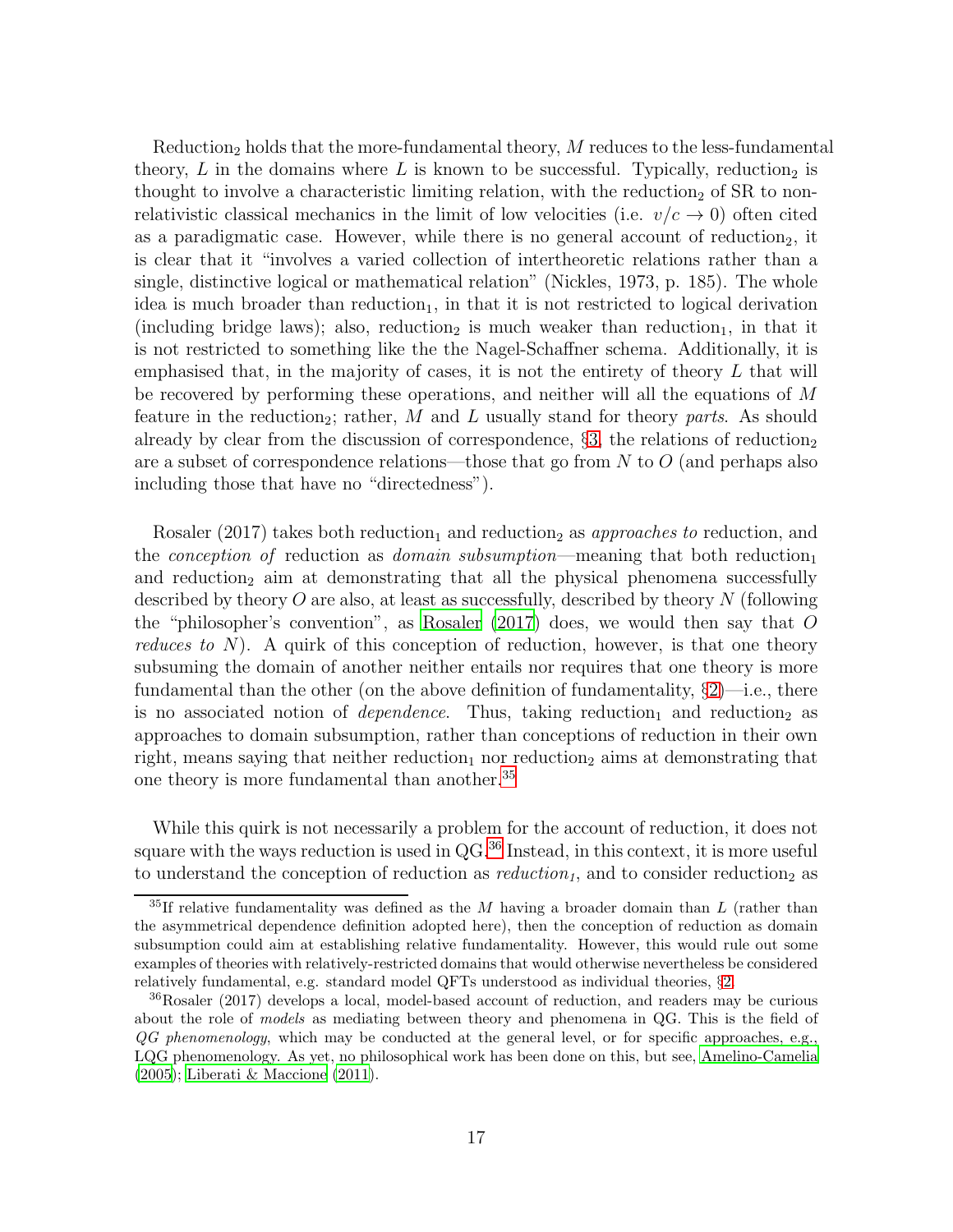$Reduction<sub>2</sub> holds that the more-fundamental theory, M reduces to the less-fundamental$ theory,  $L$  in the domains where  $L$  is known to be successful. Typically, reduction<sub>2</sub> is thought to involve a characteristic limiting relation, with the reduction<sub>2</sub> of SR to nonrelativistic classical mechanics in the limit of low velocities (i.e.  $v/c \rightarrow 0$ ) often cited as a paradigmatic case. However, while there is no general account of reduction<sub>2</sub>, it is clear that it "involves a varied collection of intertheoretic relations rather than a single, distinctive logical or mathematical relation" (Nickles, 1973, p. 185). The whole idea is much broader than reduction<sub>1</sub>, in that it is not restricted to logical derivation (including bridge laws); also, reduction<sub>2</sub> is much weaker than reduction<sub>1</sub>, in that it is not restricted to something like the the Nagel-Schaffner schema. Additionally, it is emphasised that, in the majority of cases, it is not the entirety of theory  $L$  that will be recovered by performing these operations, and neither will all the equations of M feature in the reduction<sub>2</sub>; rather, M and L usually stand for theory parts. As should already by clear from the discussion of correspondence,  $\S$ [3,](#page-7-0) the relations of reduction<sub>2</sub> are a subset of correspondence relations—those that go from  $N$  to  $O$  (and perhaps also including those that have no "directedness").

Rosaler (2017) takes both reduction<sub>1</sub> and reduction<sub>2</sub> as *approaches to* reduction, and the *conception of* reduction as *domain subsumption*—meaning that both reduction<sub>1</sub> and reduction<sub>2</sub> aim at demonstrating that all the physical phenomena successfully described by theory  $O$  are also, at least as successfully, described by theory  $N$  (following the "philosopher's convention", as Rosaler  $(2017)$  does, we would then say that O reduces to  $N$ ). A quirk of this conception of reduction, however, is that one theory subsuming the domain of another neither entails nor requires that one theory is more fundamental than the other (on the above definition of fundamentality,  $\S2$ )—i.e., there is no associated notion of *dependence*. Thus, taking reduction<sub>1</sub> and reduction<sub>2</sub> as approaches to domain subsumption, rather than conceptions of reduction in their own right, means saying that neither reduction<sub>1</sub> nor reduction<sub>2</sub> aims at demonstrating that one theory is more fundamental than another.<sup>[35](#page-16-0)</sup>

While this quirk is not necessarily a problem for the account of reduction, it does not square with the ways reduction is used in QG.[36](#page-16-1) Instead, in this context, it is more useful to understand the conception of reduction as  $reduction<sub>1</sub>$ , and to consider reduction<sub>2</sub> as

<span id="page-16-0"></span> $35$ If relative fundamentality was defined as the M having a broader domain than L (rather than the asymmetrical dependence definition adopted here), then the conception of reduction as domain subsumption could aim at establishing relative fundamentality. However, this would rule out some examples of theories with relatively-restricted domains that would otherwise nevertheless be considered relatively fundamental, e.g. standard model QFTs understood as individual theories, §[2.](#page-4-0)

<span id="page-16-1"></span><sup>36</sup>Rosaler (2017) develops a local, model-based account of reduction, and readers may be curious about the role of models as mediating between theory and phenomena in QG. This is the field of  $QG$  phenomenology, which may be conducted at the general level, or for specific approaches, e.g., LQG phenomenology. As yet, no philosophical work has been done on this, but see, [Amelino-Camelia](#page-27-10) [\(2005](#page-27-10)); [Liberati & Maccione \(2011](#page-29-8)).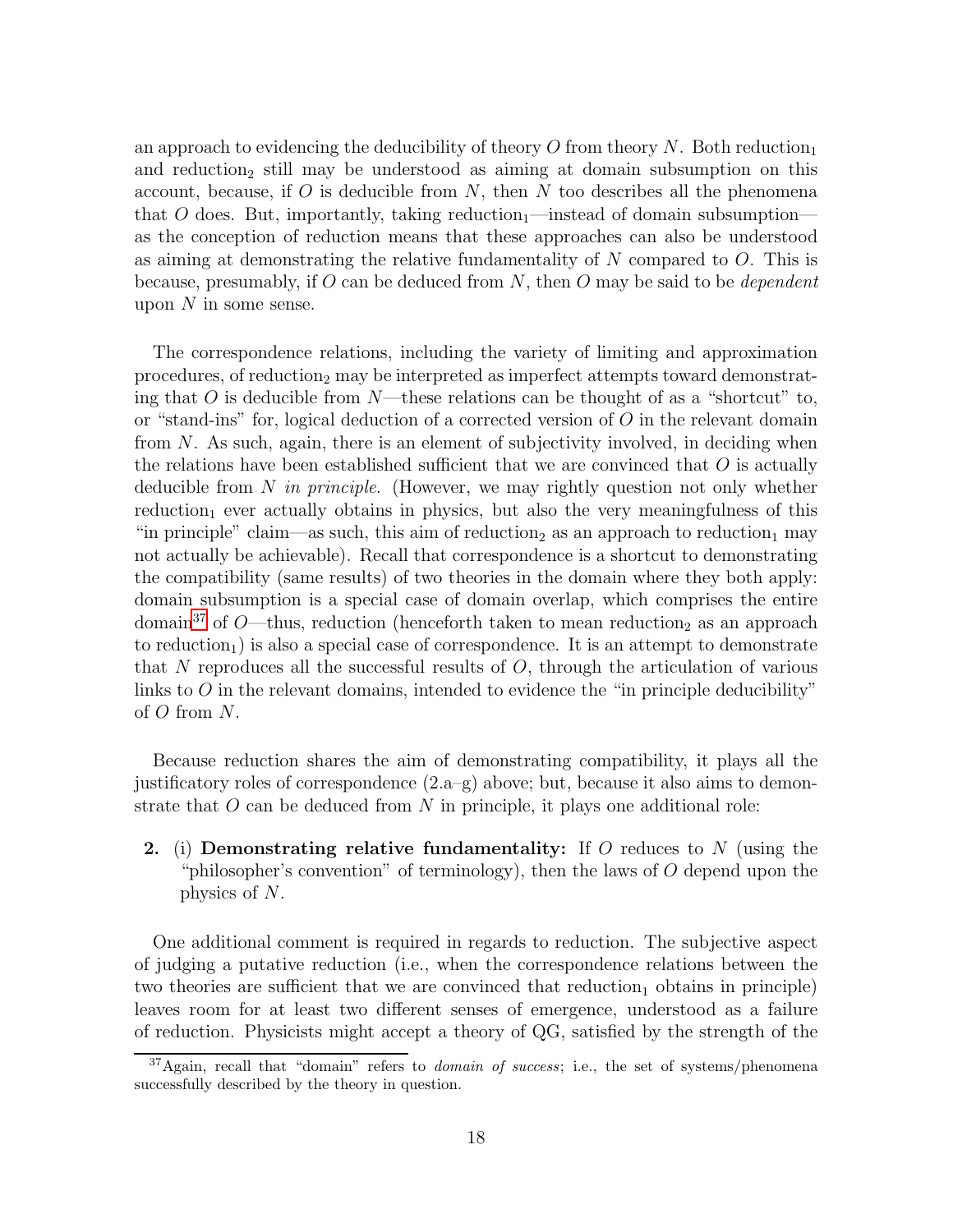an approach to evidencing the deducibility of theory O from theory  $N$ . Both reduction and reduction<sub>2</sub> still may be understood as aiming at domain subsumption on this account, because, if  $O$  is deducible from  $N$ , then  $N$  too describes all the phenomena that O does. But, importantly, taking reduction-instead of domain subsumptionas the conception of reduction means that these approaches can also be understood as aiming at demonstrating the relative fundamentality of  $N$  compared to  $O$ . This is because, presumably, if O can be deduced from  $N$ , then O may be said to be *dependent* upon  $N$  in some sense.

The correspondence relations, including the variety of limiting and approximation procedures, of reduction<sub>2</sub> may be interpreted as imperfect attempts toward demonstrating that O is deducible from  $N$ —these relations can be thought of as a "shortcut" to, or "stand-ins" for, logical deduction of a corrected version of  $O$  in the relevant domain from N. As such, again, there is an element of subjectivity involved, in deciding when the relations have been established sufficient that we are convinced that  $O$  is actually deducible from N in principle. (However, we may rightly question not only whether  $reduction<sub>1</sub> ever actually obtains in physics, but also the very meaningfulness of this$ "in principle" claim—as such, this aim of reduction<sub>2</sub> as an approach to reduction<sub>1</sub> may not actually be achievable). Recall that correspondence is a shortcut to demonstrating the compatibility (same results) of two theories in the domain where they both apply: domain subsumption is a special case of domain overlap, which comprises the entire domain<sup>[37](#page-17-0)</sup> of O—thus, reduction (henceforth taken to mean reduction<sub>2</sub> as an approach to reduction<sub>1</sub>) is also a special case of correspondence. It is an attempt to demonstrate that N reproduces all the successful results of  $O$ , through the articulation of various links to  $\overline{O}$  in the relevant domains, intended to evidence the "in principle deducibility" of O from N.

Because reduction shares the aim of demonstrating compatibility, it plays all the justificatory roles of correspondence  $(2.a-g)$  above; but, because it also aims to demonstrate that  $O$  can be deduced from  $N$  in principle, it plays one additional role:

2. (i) Demonstrating relative fundamentality: If O reduces to N (using the "philosopher's convention" of terminology), then the laws of  $O$  depend upon the physics of N.

One additional comment is required in regards to reduction. The subjective aspect of judging a putative reduction (i.e., when the correspondence relations between the two theories are sufficient that we are convinced that reduction<sub>1</sub> obtains in principle) leaves room for at least two different senses of emergence, understood as a failure of reduction. Physicists might accept a theory of QG, satisfied by the strength of the

<span id="page-17-0"></span> $37$ Again, recall that "domain" refers to *domain of success*; i.e., the set of systems/phenomena successfully described by the theory in question.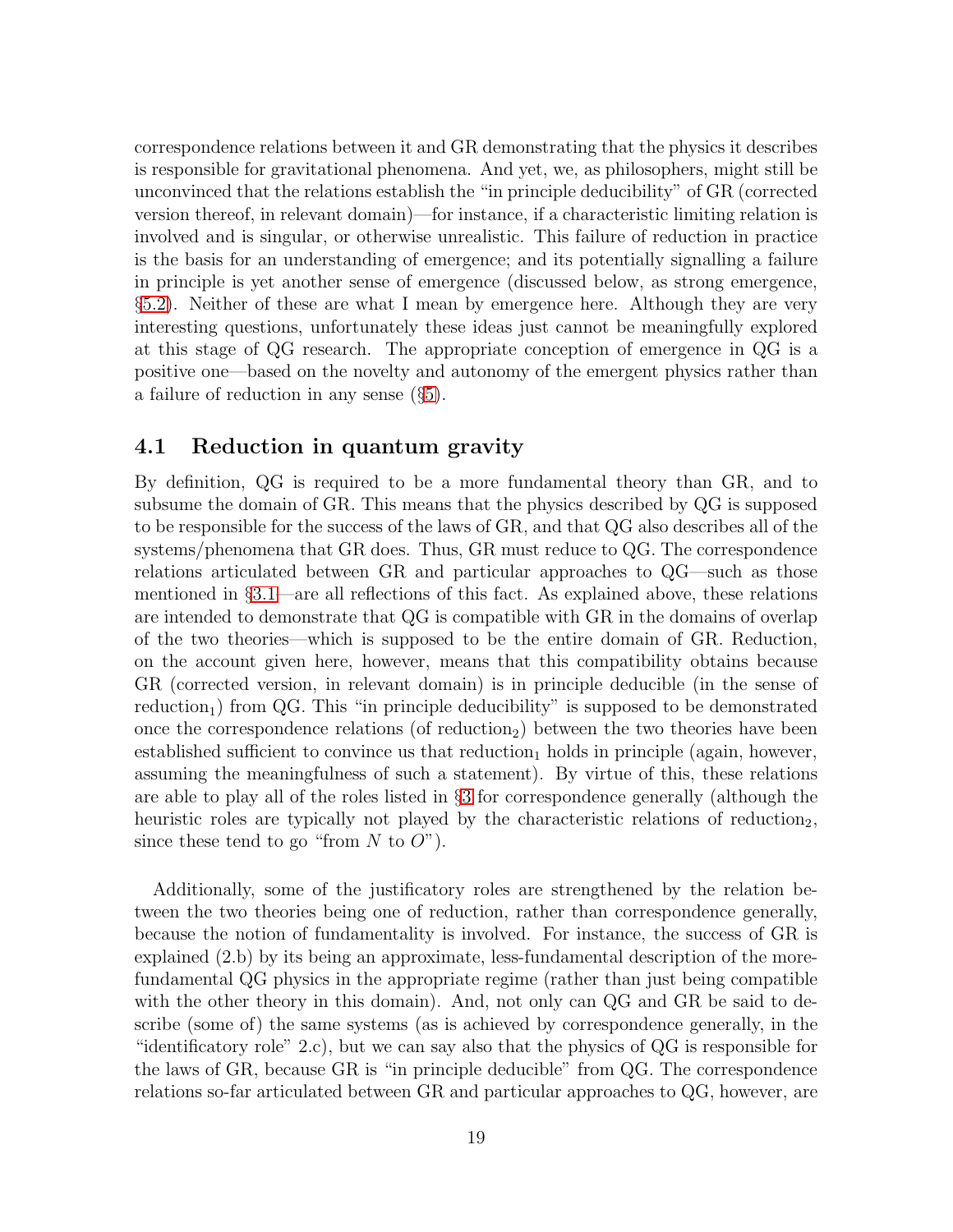correspondence relations between it and GR demonstrating that the physics it describes is responsible for gravitational phenomena. And yet, we, as philosophers, might still be unconvinced that the relations establish the "in principle deducibility" of GR (corrected version thereof, in relevant domain)—for instance, if a characteristic limiting relation is involved and is singular, or otherwise unrealistic. This failure of reduction in practice is the basis for an understanding of emergence; and its potentially signalling a failure in principle is yet another sense of emergence (discussed below, as strong emergence, §[5.2\)](#page-23-0). Neither of these are what I mean by emergence here. Although they are very interesting questions, unfortunately these ideas just cannot be meaningfully explored at this stage of QG research. The appropriate conception of emergence in QG is a positive one—based on the novelty and autonomy of the emergent physics rather than a failure of reduction in any sense (§[5\)](#page-19-0).

#### <span id="page-18-0"></span>4.1 Reduction in quantum gravity

By definition, QG is required to be a more fundamental theory than GR, and to subsume the domain of GR. This means that the physics described by QG is supposed to be responsible for the success of the laws of GR, and that QG also describes all of the systems/phenomena that GR does. Thus, GR must reduce to QG. The correspondence relations articulated between GR and particular approaches to QG—such as those mentioned in §[3.1—](#page-11-0)are all reflections of this fact. As explained above, these relations are intended to demonstrate that QG is compatible with GR in the domains of overlap of the two theories—which is supposed to be the entire domain of GR. Reduction, on the account given here, however, means that this compatibility obtains because GR (corrected version, in relevant domain) is in principle deducible (in the sense of  $reduction<sub>1</sub>$  from QG. This "in principle deducibility" is supposed to be demonstrated once the correspondence relations (of reduction<sub>2</sub>) between the two theories have been established sufficient to convince us that reduction<sub>1</sub> holds in principle (again, however, assuming the meaningfulness of such a statement). By virtue of this, these relations are able to play all of the roles listed in §[3](#page-7-0) for correspondence generally (although the heuristic roles are typically not played by the characteristic relations of reduction<sub>2</sub>, since these tend to go "from N to  $O$ ").

Additionally, some of the justificatory roles are strengthened by the relation between the two theories being one of reduction, rather than correspondence generally, because the notion of fundamentality is involved. For instance, the success of GR is explained (2.b) by its being an approximate, less-fundamental description of the morefundamental QG physics in the appropriate regime (rather than just being compatible with the other theory in this domain). And, not only can QG and GR be said to describe (some of) the same systems (as is achieved by correspondence generally, in the "identificatory role" 2.c), but we can say also that the physics of QG is responsible for the laws of GR, because GR is "in principle deducible" from QG. The correspondence relations so-far articulated between GR and particular approaches to QG, however, are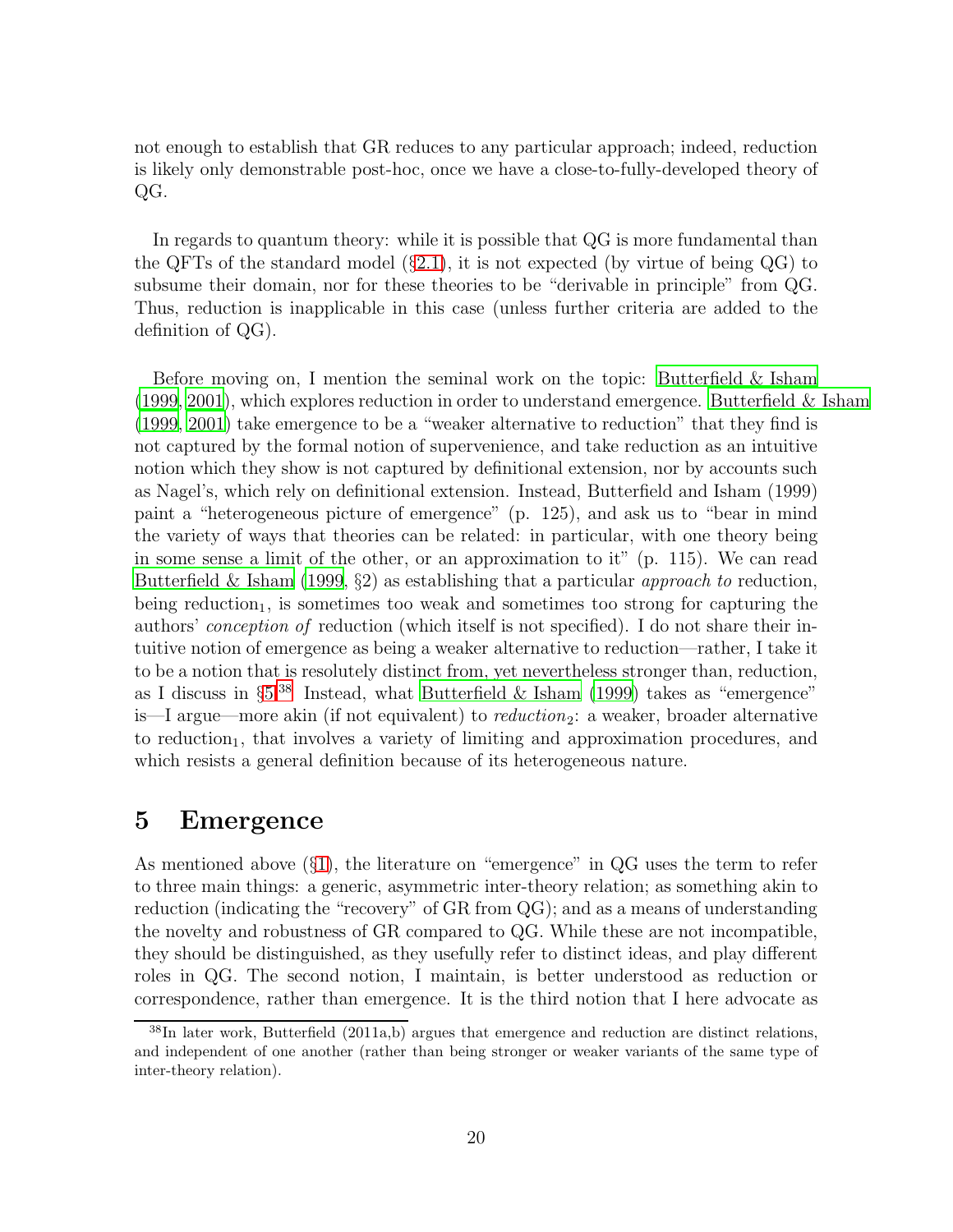not enough to establish that GR reduces to any particular approach; indeed, reduction is likely only demonstrable post-hoc, once we have a close-to-fully-developed theory of QG.

In regards to quantum theory: while it is possible that QG is more fundamental than the QFTs of the standard model  $(\S 2.1)$  $(\S 2.1)$ , it is not expected (by virtue of being QG) to subsume their domain, nor for these theories to be "derivable in principle" from QG. Thus, reduction is inapplicable in this case (unless further criteria are added to the definition of QG).

Before moving on, I mention the seminal work on the topic: [Butterfield & Isham](#page-28-0)  $(1999, 2001)$  $(1999, 2001)$  $(1999, 2001)$ , which explores reduction in order to understand emergence. Butterfield  $\&$  Isham [\(1999](#page-28-0), [2001](#page-28-6)) take emergence to be a "weaker alternative to reduction" that they find is not captured by the formal notion of supervenience, and take reduction as an intuitive notion which they show is not captured by definitional extension, nor by accounts such as Nagel's, which rely on definitional extension. Instead, Butterfield and Isham (1999) paint a "heterogeneous picture of emergence" (p. 125), and ask us to "bear in mind the variety of ways that theories can be related: in particular, with one theory being in some sense a limit of the other, or an approximation to it" (p. 115). We can read [Butterfield & Isham \(1999,](#page-28-0)  $\S$ 2) as establishing that a particular *approach to* reduction, being reduction<sub>1</sub>, is sometimes too weak and sometimes too strong for capturing the authors' conception of reduction (which itself is not specified). I do not share their intuitive notion of emergence as being a weaker alternative to reduction—rather, I take it to be a notion that is resolutely distinct from, yet nevertheless stronger than, reduction, as I discuss in  $\S5^{38}$  $\S5^{38}$  $\S5^{38}$  Instead, what [Butterfield & Isham \(1999](#page-28-0)) takes as "emergence" is—I argue—more akin (if not equivalent) to reduction<sub>2</sub>: a weaker, broader alternative to reduction<sub>1</sub>, that involves a variety of limiting and approximation procedures, and which resists a general definition because of its heterogeneous nature.

### <span id="page-19-0"></span>5 Emergence

As mentioned above  $(\S1)$  $(\S1)$ , the literature on "emergence" in QG uses the term to refer to three main things: a generic, asymmetric inter-theory relation; as something akin to reduction (indicating the "recovery" of GR from QG); and as a means of understanding the novelty and robustness of GR compared to QG. While these are not incompatible, they should be distinguished, as they usefully refer to distinct ideas, and play different roles in QG. The second notion, I maintain, is better understood as reduction or correspondence, rather than emergence. It is the third notion that I here advocate as

<span id="page-19-1"></span><sup>38</sup>In later work, Butterfield (2011a,b) argues that emergence and reduction are distinct relations, and independent of one another (rather than being stronger or weaker variants of the same type of inter-theory relation).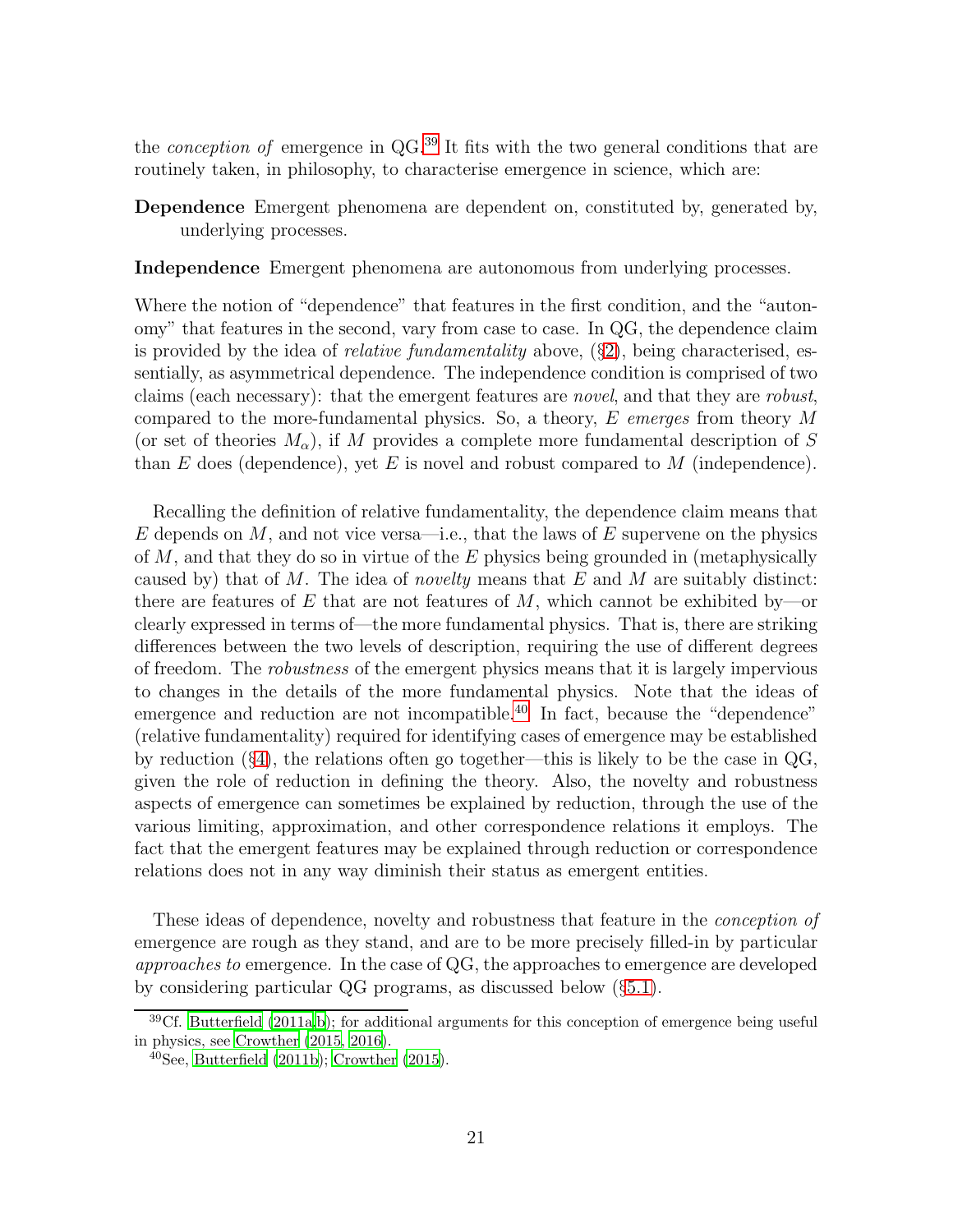the *conception of* emergence in  $QG<sup>39</sup>$  $QG<sup>39</sup>$  $QG<sup>39</sup>$  It fits with the two general conditions that are routinely taken, in philosophy, to characterise emergence in science, which are:

Dependence Emergent phenomena are dependent on, constituted by, generated by, underlying processes.

Independence Emergent phenomena are autonomous from underlying processes.

Where the notion of "dependence" that features in the first condition, and the "autonomy" that features in the second, vary from case to case. In QG, the dependence claim is provided by the idea of *relative fundamentality* above,  $(\S_2)$  $(\S_2)$ , being characterised, essentially, as asymmetrical dependence. The independence condition is comprised of two claims (each necessary): that the emergent features are novel, and that they are robust, compared to the more-fundamental physics. So, a theory, E emerges from theory M (or set of theories  $M_{\alpha}$ ), if M provides a complete more fundamental description of S than E does (dependence), yet E is novel and robust compared to  $M$  (independence).

Recalling the definition of relative fundamentality, the dependence claim means that E depends on M, and not vice versa—i.e., that the laws of E supervene on the physics of  $M$ , and that they do so in virtue of the  $E$  physics being grounded in (metaphysically caused by) that of  $M$ . The idea of novelty means that  $E$  and  $M$  are suitably distinct: there are features of E that are not features of  $M$ , which cannot be exhibited by—or clearly expressed in terms of—the more fundamental physics. That is, there are striking differences between the two levels of description, requiring the use of different degrees of freedom. The robustness of the emergent physics means that it is largely impervious to changes in the details of the more fundamental physics. Note that the ideas of emergence and reduction are not incompatible.<sup>[40](#page-20-1)</sup> In fact, because the "dependence" (relative fundamentality) required for identifying cases of emergence may be established by reduction (§[4\)](#page-15-0), the relations often go together—this is likely to be the case in QG, given the role of reduction in defining the theory. Also, the novelty and robustness aspects of emergence can sometimes be explained by reduction, through the use of the various limiting, approximation, and other correspondence relations it employs. The fact that the emergent features may be explained through reduction or correspondence relations does not in any way diminish their status as emergent entities.

These ideas of dependence, novelty and robustness that feature in the conception of emergence are rough as they stand, and are to be more precisely filled-in by particular approaches to emergence. In the case of QG, the approaches to emergence are developed by considering particular QG programs, as discussed below (§[5.1\)](#page-21-0).

<sup>39</sup>Cf. [Butterfield \(2011a](#page-27-2)[,b](#page-28-3)); for additional arguments for this conception of emergence being useful in physics, see [Crowther \(2015](#page-28-4), [2016](#page-28-1)).

<span id="page-20-1"></span><span id="page-20-0"></span> $40$ See, [Butterfield \(2011b\)](#page-28-3); [Crowther \(2015](#page-28-4)).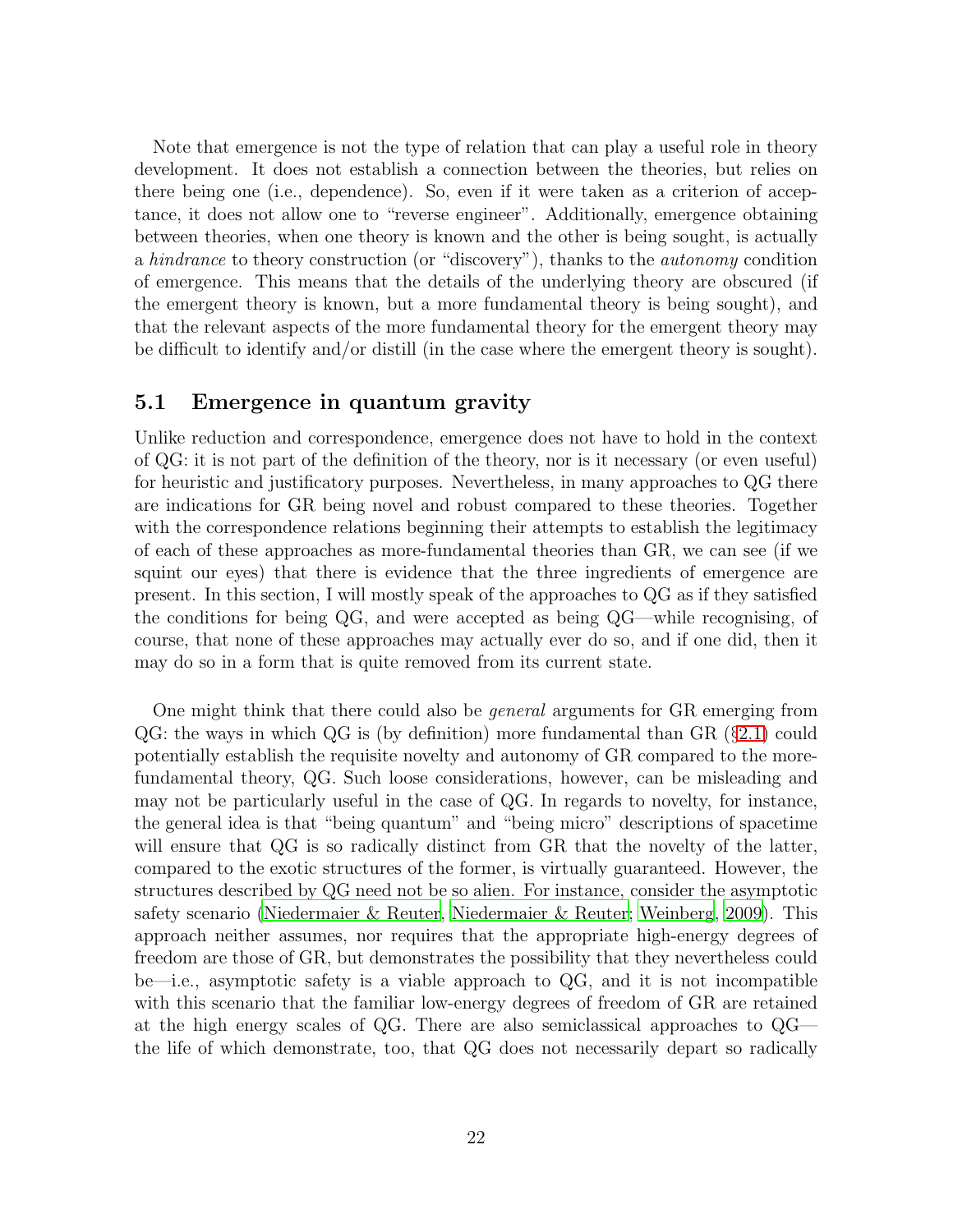Note that emergence is not the type of relation that can play a useful role in theory development. It does not establish a connection between the theories, but relies on there being one (i.e., dependence). So, even if it were taken as a criterion of acceptance, it does not allow one to "reverse engineer". Additionally, emergence obtaining between theories, when one theory is known and the other is being sought, is actually a hindrance to theory construction (or "discovery"), thanks to the autonomy condition of emergence. This means that the details of the underlying theory are obscured (if the emergent theory is known, but a more fundamental theory is being sought), and that the relevant aspects of the more fundamental theory for the emergent theory may be difficult to identify and/or distill (in the case where the emergent theory is sought).

#### <span id="page-21-0"></span>5.1 Emergence in quantum gravity

Unlike reduction and correspondence, emergence does not have to hold in the context of QG: it is not part of the definition of the theory, nor is it necessary (or even useful) for heuristic and justificatory purposes. Nevertheless, in many approaches to QG there are indications for GR being novel and robust compared to these theories. Together with the correspondence relations beginning their attempts to establish the legitimacy of each of these approaches as more-fundamental theories than GR, we can see (if we squint our eyes) that there is evidence that the three ingredients of emergence are present. In this section, I will mostly speak of the approaches to QG as if they satisfied the conditions for being QG, and were accepted as being QG—while recognising, of course, that none of these approaches may actually ever do so, and if one did, then it may do so in a form that is quite removed from its current state.

One might think that there could also be general arguments for GR emerging from  $QG$ : the ways in which  $QG$  is (by definition) more fundamental than  $GR$  (§[2.1\)](#page-5-0) could potentially establish the requisite novelty and autonomy of GR compared to the morefundamental theory, QG. Such loose considerations, however, can be misleading and may not be particularly useful in the case of QG. In regards to novelty, for instance, the general idea is that "being quantum" and "being micro" descriptions of spacetime will ensure that QG is so radically distinct from GR that the novelty of the latter, compared to the exotic structures of the former, is virtually guaranteed. However, the structures described by QG need not be so alien. For instance, consider the asymptotic safety scenario [\(Niedermaier & Reuter](#page-30-15), [Niedermaier & Reuter;](#page-30-15) [Weinberg](#page-31-5), [2009\)](#page-31-5). This approach neither assumes, nor requires that the appropriate high-energy degrees of freedom are those of GR, but demonstrates the possibility that they nevertheless could be—i.e., asymptotic safety is a viable approach to QG, and it is not incompatible with this scenario that the familiar low-energy degrees of freedom of GR are retained at the high energy scales of QG. There are also semiclassical approaches to QG the life of which demonstrate, too, that QG does not necessarily depart so radically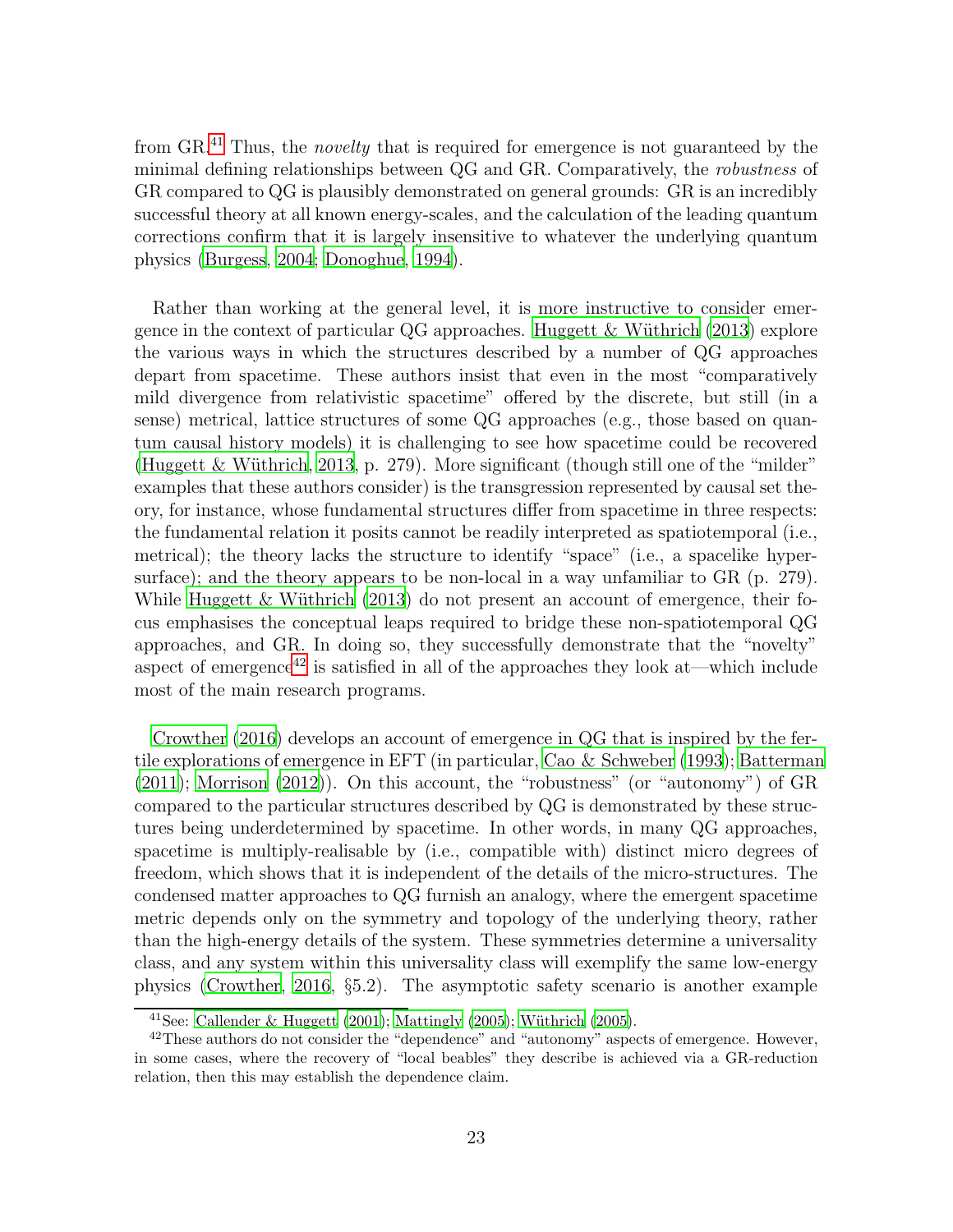from GR.[41](#page-22-0) Thus, the novelty that is required for emergence is not guaranteed by the minimal defining relationships between QG and GR. Comparatively, the robustness of GR compared to QG is plausibly demonstrated on general grounds: GR is an incredibly successful theory at all known energy-scales, and the calculation of the leading quantum corrections confirm that it is largely insensitive to whatever the underlying quantum physics [\(Burgess](#page-27-11), [2004;](#page-27-11) [Donoghue, 1994](#page-29-12)).

Rather than working at the general level, it is more instructive to consider emergence in the context of particular  $\overline{Q}G$  approaches. Huggett & Wüthrich (2013) explore the various ways in which the structures described by a number of QG approaches depart from spacetime. These authors insist that even in the most "comparatively mild divergence from relativistic spacetime" offered by the discrete, but still (in a sense) metrical, lattice structures of some QG approaches (e.g., those based on quantum causal history models) it is challenging to see how spacetime could be recovered (Huggett & Wüthrich, 2013, p. 279). More significant (though still one of the "milder" examples that these authors consider) is the transgression represented by causal set theory, for instance, whose fundamental structures differ from spacetime in three respects: the fundamental relation it posits cannot be readily interpreted as spatiotemporal (i.e., metrical); the theory lacks the structure to identify "space" (i.e., a spacelike hypersurface); and the theory appears to be non-local in a way unfamiliar to GR (p. 279). While Huggett  $&$  Wüthrich (2013) do not present an account of emergence, their focus emphasises the conceptual leaps required to bridge these non-spatiotemporal QG approaches, and GR. In doing so, they successfully demonstrate that the "novelty" aspect of emergence<sup>[42](#page-22-1)</sup> is satisfied in all of the approaches they look at—which include most of the main research programs.

[Crowther \(2016](#page-28-1)) develops an account of emergence in QG that is inspired by the fertile explorations of emergence in EFT (in particular, [Cao & Schweber \(1993\)](#page-28-11); [Batterman](#page-27-4)  $(2011)$  $(2011)$ ; Morrison  $(2012)$ ). On this account, the "robustness" (or "autonomy") of GR compared to the particular structures described by QG is demonstrated by these structures being underdetermined by spacetime. In other words, in many QG approaches, spacetime is multiply-realisable by (i.e., compatible with) distinct micro degrees of freedom, which shows that it is independent of the details of the micro-structures. The condensed matter approaches to QG furnish an analogy, where the emergent spacetime metric depends only on the symmetry and topology of the underlying theory, rather than the high-energy details of the system. These symmetries determine a universality class, and any system within this universality class will exemplify the same low-energy physics [\(Crowther](#page-28-1), [2016,](#page-28-1) §5.2). The asymptotic safety scenario is another example

<span id="page-22-0"></span><sup>&</sup>lt;sup>41</sup>See: [Callender & Huggett \(2001](#page-28-12)); [Mattingly \(2005\)](#page-29-14); Wüthrich (2005).

<span id="page-22-1"></span> $^{42}$ These authors do not consider the "dependence" and "autonomy" aspects of emergence. However, in some cases, where the recovery of "local beables" they describe is achieved via a GR-reduction relation, then this may establish the dependence claim.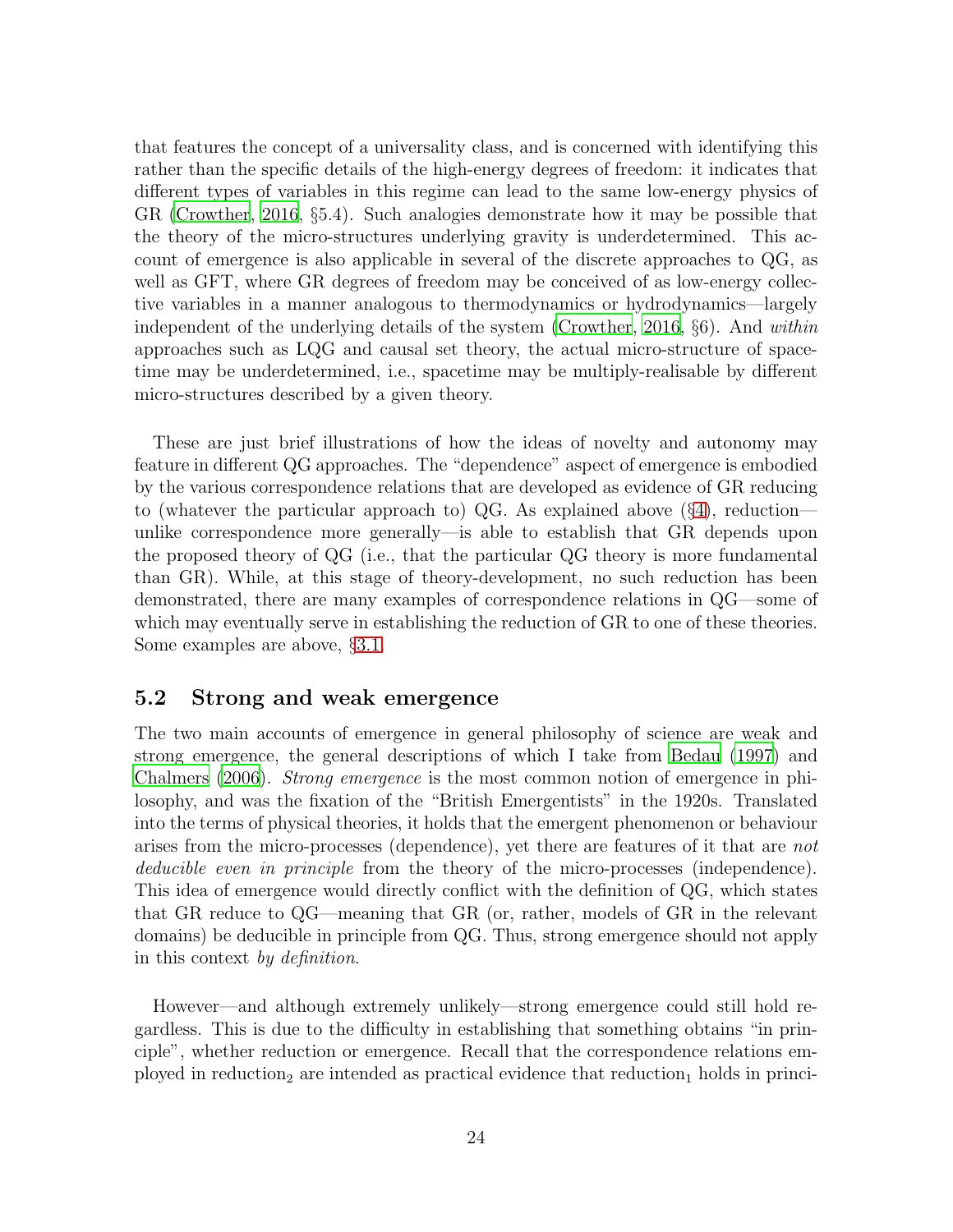that features the concept of a universality class, and is concerned with identifying this rather than the specific details of the high-energy degrees of freedom: it indicates that different types of variables in this regime can lead to the same low-energy physics of GR [\(Crowther, 2016,](#page-28-1) §5.4). Such analogies demonstrate how it may be possible that the theory of the micro-structures underlying gravity is underdetermined. This account of emergence is also applicable in several of the discrete approaches to QG, as well as GFT, where GR degrees of freedom may be conceived of as low-energy collective variables in a manner analogous to thermodynamics or hydrodynamics—largely independent of the underlying details of the system [\(Crowther](#page-28-1), [2016](#page-28-1), §6). And within approaches such as LQG and causal set theory, the actual micro-structure of spacetime may be underdetermined, i.e., spacetime may be multiply-realisable by different micro-structures described by a given theory.

These are just brief illustrations of how the ideas of novelty and autonomy may feature in different QG approaches. The "dependence" aspect of emergence is embodied by the various correspondence relations that are developed as evidence of GR reducing to (whatever the particular approach to) QG. As explained above (§[4\)](#page-15-0), reduction unlike correspondence more generally—is able to establish that GR depends upon the proposed theory of QG (i.e., that the particular QG theory is more fundamental than GR). While, at this stage of theory-development, no such reduction has been demonstrated, there are many examples of correspondence relations in QG—some of which may eventually serve in establishing the reduction of GR to one of these theories. Some examples are above, §[3.1.](#page-11-0)

#### <span id="page-23-0"></span>5.2 Strong and weak emergence

The two main accounts of emergence in general philosophy of science are weak and strong emergence, the general descriptions of which I take from [Bedau \(1997\)](#page-27-12) and [Chalmers \(2006\)](#page-28-13). Strong emergence is the most common notion of emergence in philosophy, and was the fixation of the "British Emergentists" in the 1920s. Translated into the terms of physical theories, it holds that the emergent phenomenon or behaviour arises from the micro-processes (dependence), yet there are features of it that are not deducible even in principle from the theory of the micro-processes (independence). This idea of emergence would directly conflict with the definition of QG, which states that GR reduce to QG—meaning that GR (or, rather, models of GR in the relevant domains) be deducible in principle from QG. Thus, strong emergence should not apply in this context by definition.

However—and although extremely unlikely—strong emergence could still hold regardless. This is due to the difficulty in establishing that something obtains "in principle", whether reduction or emergence. Recall that the correspondence relations employed in reduction<sub>2</sub> are intended as practical evidence that reduction<sub>1</sub> holds in princi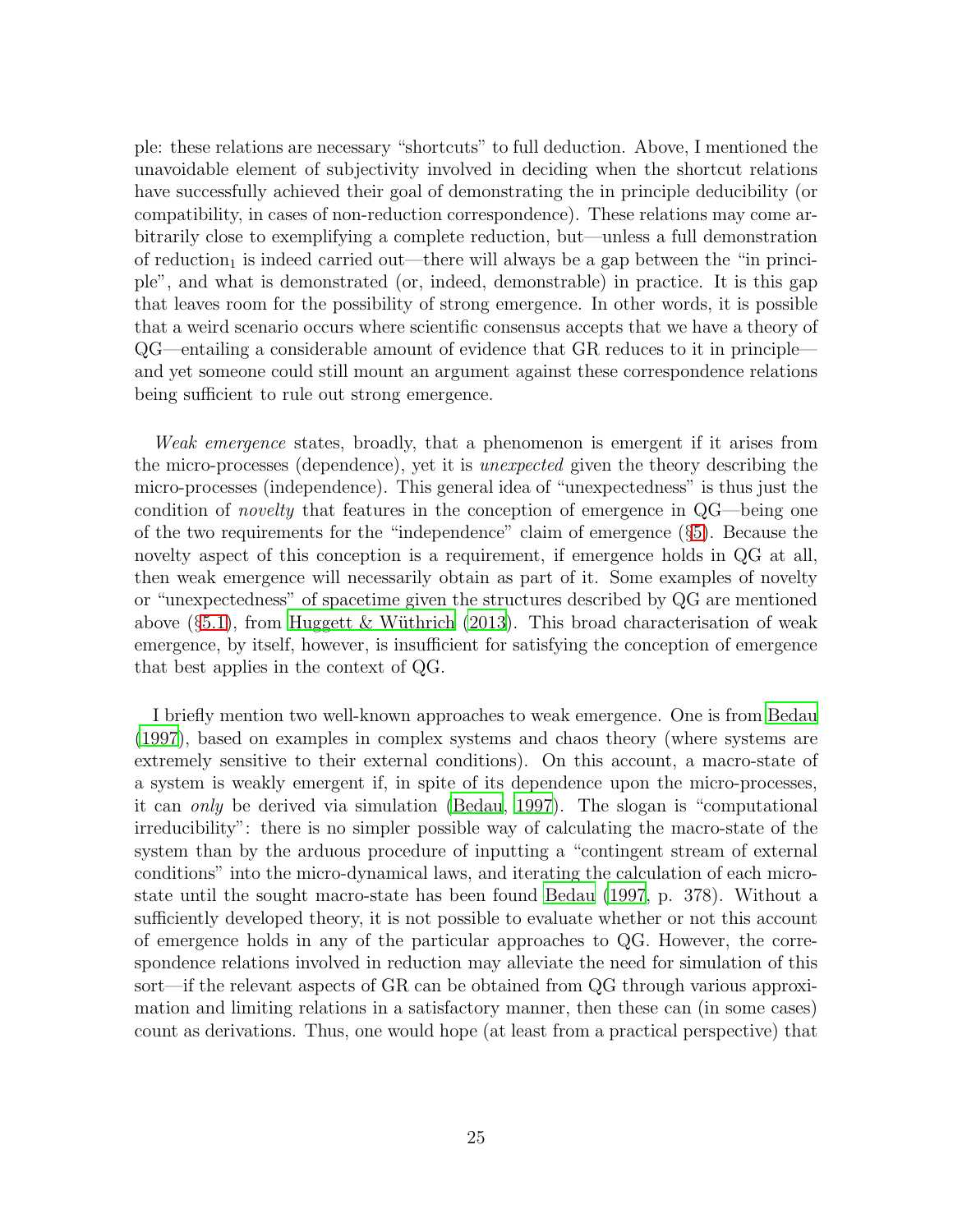ple: these relations are necessary "shortcuts" to full deduction. Above, I mentioned the unavoidable element of subjectivity involved in deciding when the shortcut relations have successfully achieved their goal of demonstrating the in principle deducibility (or compatibility, in cases of non-reduction correspondence). These relations may come arbitrarily close to exemplifying a complete reduction, but—unless a full demonstration of reduction<sub>1</sub> is indeed carried out—there will always be a gap between the "in principle", and what is demonstrated (or, indeed, demonstrable) in practice. It is this gap that leaves room for the possibility of strong emergence. In other words, it is possible that a weird scenario occurs where scientific consensus accepts that we have a theory of QG—entailing a considerable amount of evidence that GR reduces to it in principle and yet someone could still mount an argument against these correspondence relations being sufficient to rule out strong emergence.

Weak emergence states, broadly, that a phenomenon is emergent if it arises from the micro-processes (dependence), yet it is unexpected given the theory describing the micro-processes (independence). This general idea of "unexpectedness" is thus just the condition of novelty that features in the conception of emergence in QG—being one of the two requirements for the "independence" claim of emergence (§[5\)](#page-19-0). Because the novelty aspect of this conception is a requirement, if emergence holds in QG at all, then weak emergence will necessarily obtain as part of it. Some examples of novelty or "unexpectedness" of spacetime given the structures described by QG are mentioned above  $(\S 5.1)$  $(\S 5.1)$ , from Huggett & Wüthrich (2013). This broad characterisation of weak emergence, by itself, however, is insufficient for satisfying the conception of emergence that best applies in the context of QG.

I briefly mention two well-known approaches to weak emergence. One is from [Bedau](#page-27-12) [\(1997](#page-27-12)), based on examples in complex systems and chaos theory (where systems are extremely sensitive to their external conditions). On this account, a macro-state of a system is weakly emergent if, in spite of its dependence upon the micro-processes, it can only be derived via simulation [\(Bedau](#page-27-12), [1997](#page-27-12)). The slogan is "computational irreducibility": there is no simpler possible way of calculating the macro-state of the system than by the arduous procedure of inputting a "contingent stream of external conditions" into the micro-dynamical laws, and iterating the calculation of each microstate until the sought macro-state has been found [Bedau \(1997](#page-27-12), p. 378). Without a sufficiently developed theory, it is not possible to evaluate whether or not this account of emergence holds in any of the particular approaches to QG. However, the correspondence relations involved in reduction may alleviate the need for simulation of this sort—if the relevant aspects of GR can be obtained from QG through various approximation and limiting relations in a satisfactory manner, then these can (in some cases) count as derivations. Thus, one would hope (at least from a practical perspective) that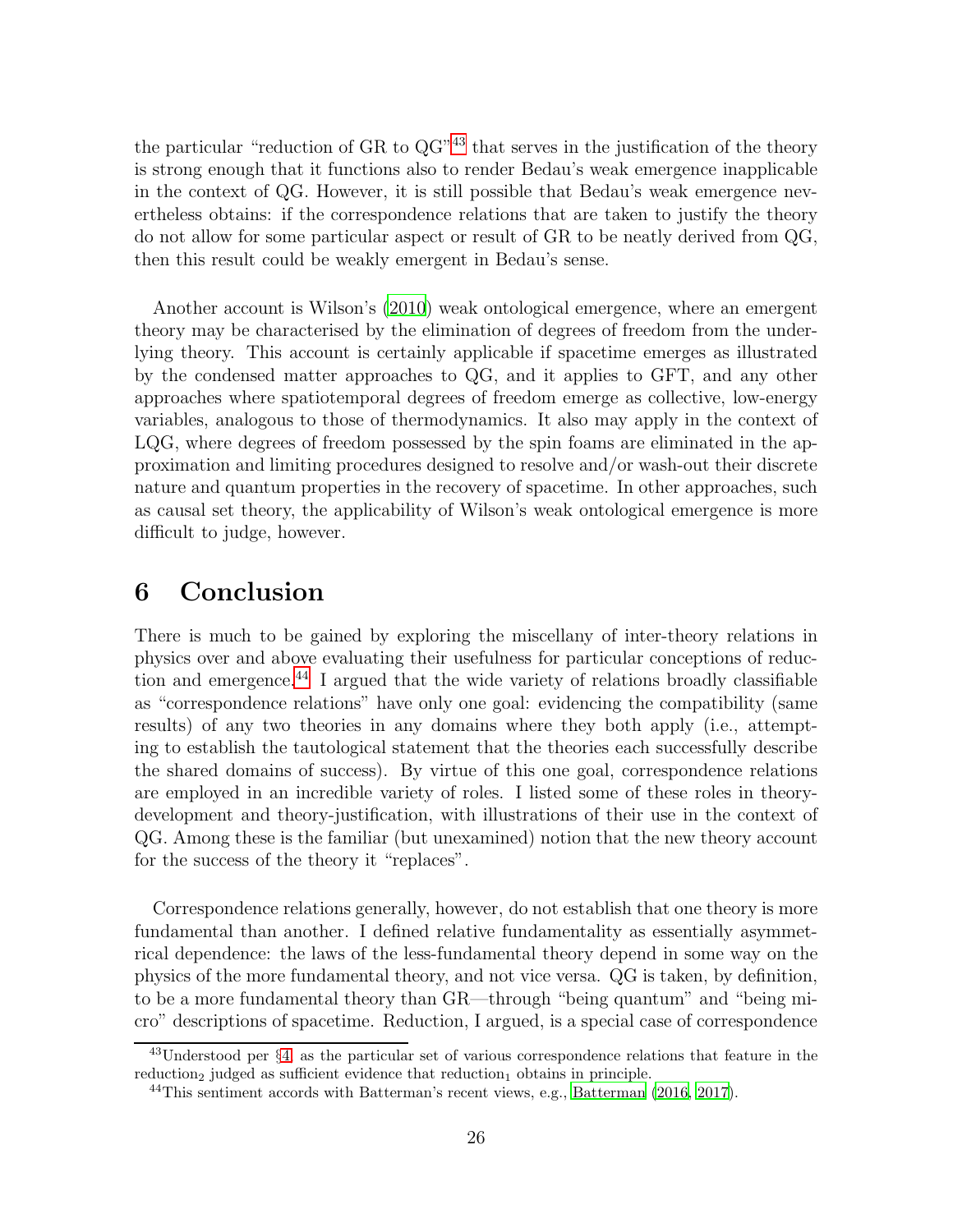the particular "reduction of GR to QG"[43](#page-25-1) that serves in the justification of the theory is strong enough that it functions also to render Bedau's weak emergence inapplicable in the context of QG. However, it is still possible that Bedau's weak emergence nevertheless obtains: if the correspondence relations that are taken to justify the theory do not allow for some particular aspect or result of GR to be neatly derived from QG, then this result could be weakly emergent in Bedau's sense.

Another account is Wilson's [\(2010\)](#page-31-7) weak ontological emergence, where an emergent theory may be characterised by the elimination of degrees of freedom from the underlying theory. This account is certainly applicable if spacetime emerges as illustrated by the condensed matter approaches to QG, and it applies to GFT, and any other approaches where spatiotemporal degrees of freedom emerge as collective, low-energy variables, analogous to those of thermodynamics. It also may apply in the context of LQG, where degrees of freedom possessed by the spin foams are eliminated in the approximation and limiting procedures designed to resolve and/or wash-out their discrete nature and quantum properties in the recovery of spacetime. In other approaches, such as causal set theory, the applicability of Wilson's weak ontological emergence is more difficult to judge, however.

## <span id="page-25-0"></span>6 Conclusion

There is much to be gained by exploring the miscellany of inter-theory relations in physics over and above evaluating their usefulness for particular conceptions of reduction and emergence. $^{44}$  $^{44}$  $^{44}$  I argued that the wide variety of relations broadly classifiable as "correspondence relations" have only one goal: evidencing the compatibility (same results) of any two theories in any domains where they both apply (i.e., attempting to establish the tautological statement that the theories each successfully describe the shared domains of success). By virtue of this one goal, correspondence relations are employed in an incredible variety of roles. I listed some of these roles in theorydevelopment and theory-justification, with illustrations of their use in the context of QG. Among these is the familiar (but unexamined) notion that the new theory account for the success of the theory it "replaces".

Correspondence relations generally, however, do not establish that one theory is more fundamental than another. I defined relative fundamentality as essentially asymmetrical dependence: the laws of the less-fundamental theory depend in some way on the physics of the more fundamental theory, and not vice versa. QG is taken, by definition, to be a more fundamental theory than GR—through "being quantum" and "being micro" descriptions of spacetime. Reduction, I argued, is a special case of correspondence

<sup>43</sup>Understood per §[4,](#page-15-0) as the particular set of various correspondence relations that feature in the  $reduction<sub>2</sub>$  judged as sufficient evidence that  $reduction<sub>1</sub>$  obtains in principle.

<span id="page-25-2"></span><span id="page-25-1"></span><sup>&</sup>lt;sup>44</sup>This sentiment accords with Batterman's recent views, e.g., [Batterman \(2016](#page-27-9), [2017](#page-27-13)).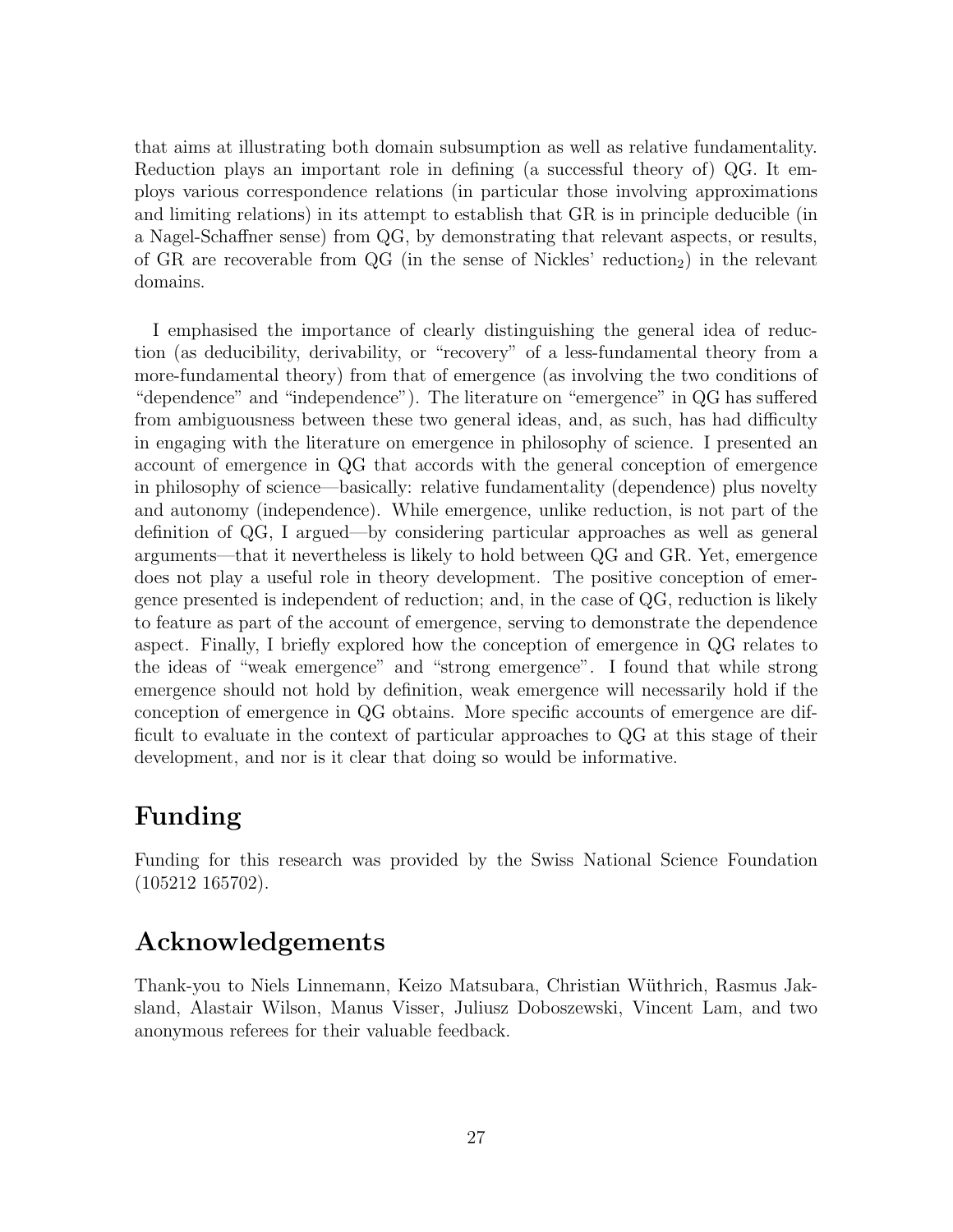that aims at illustrating both domain subsumption as well as relative fundamentality. Reduction plays an important role in defining (a successful theory of) QG. It employs various correspondence relations (in particular those involving approximations and limiting relations) in its attempt to establish that GR is in principle deducible (in a Nagel-Schaffner sense) from QG, by demonstrating that relevant aspects, or results, of GR are recoverable from  $QG$  (in the sense of Nickles' reduction<sub>2</sub>) in the relevant domains.

I emphasised the importance of clearly distinguishing the general idea of reduction (as deducibility, derivability, or "recovery" of a less-fundamental theory from a more-fundamental theory) from that of emergence (as involving the two conditions of "dependence" and "independence"). The literature on "emergence" in QG has suffered from ambiguousness between these two general ideas, and, as such, has had difficulty in engaging with the literature on emergence in philosophy of science. I presented an account of emergence in QG that accords with the general conception of emergence in philosophy of science—basically: relative fundamentality (dependence) plus novelty and autonomy (independence). While emergence, unlike reduction, is not part of the definition of QG, I argued—by considering particular approaches as well as general arguments—that it nevertheless is likely to hold between QG and GR. Yet, emergence does not play a useful role in theory development. The positive conception of emergence presented is independent of reduction; and, in the case of QG, reduction is likely to feature as part of the account of emergence, serving to demonstrate the dependence aspect. Finally, I briefly explored how the conception of emergence in QG relates to the ideas of "weak emergence" and "strong emergence". I found that while strong emergence should not hold by definition, weak emergence will necessarily hold if the conception of emergence in QG obtains. More specific accounts of emergence are difficult to evaluate in the context of particular approaches to QG at this stage of their development, and nor is it clear that doing so would be informative.

# Funding

Funding for this research was provided by the Swiss National Science Foundation (105212 165702).

# Acknowledgements

Thank-you to Niels Linnemann, Keizo Matsubara, Christian W¨uthrich, Rasmus Jaksland, Alastair Wilson, Manus Visser, Juliusz Doboszewski, Vincent Lam, and two anonymous referees for their valuable feedback.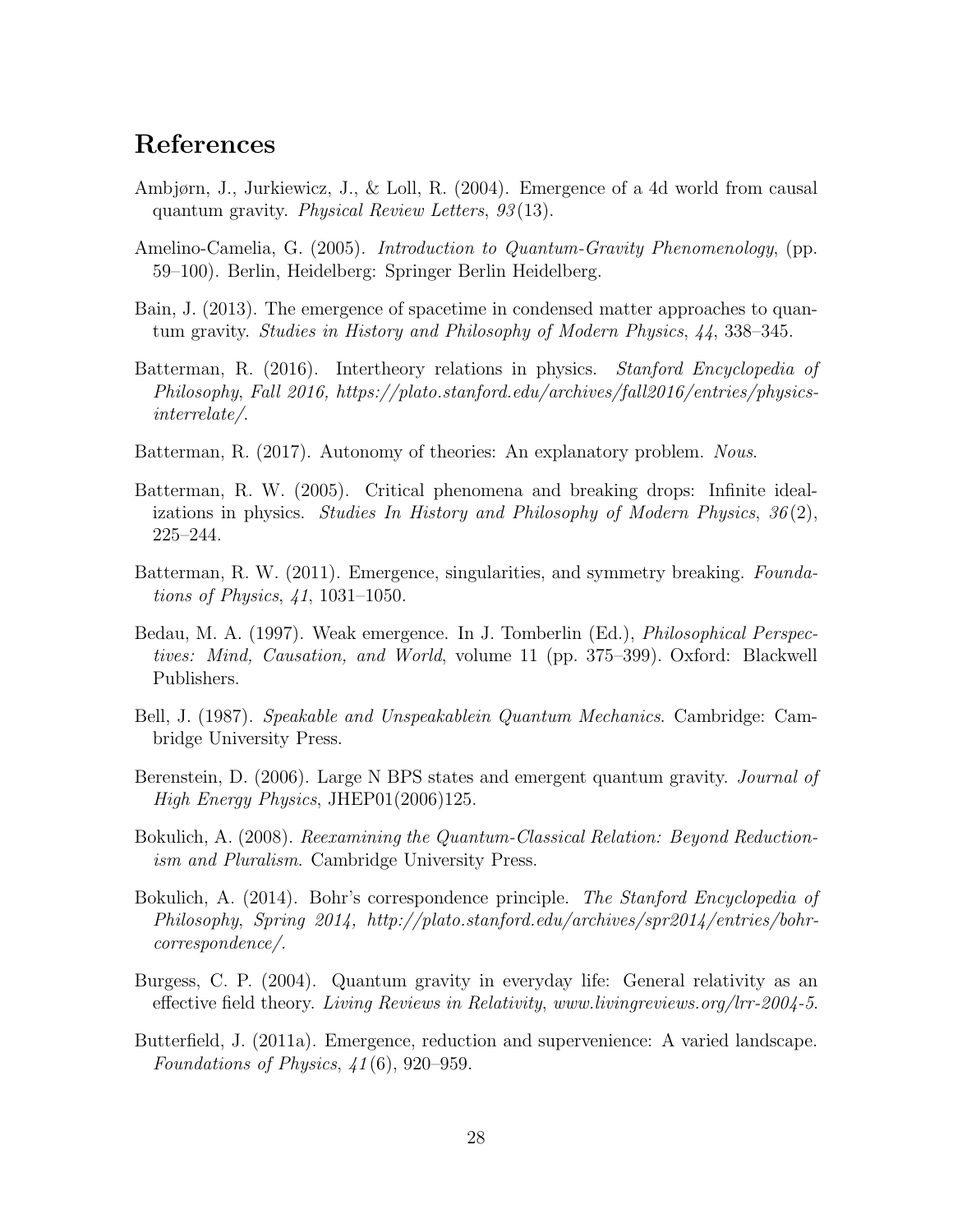### References

- <span id="page-27-8"></span>Ambjørn, J., Jurkiewicz, J., & Loll, R. (2004). Emergence of a 4d world from causal quantum gravity. Physical Review Letters, 93 (13).
- <span id="page-27-10"></span>Amelino-Camelia, G. (2005). Introduction to Quantum-Gravity Phenomenology, (pp. 59–100). Berlin, Heidelberg: Springer Berlin Heidelberg.
- <span id="page-27-0"></span>Bain, J. (2013). The emergence of spacetime in condensed matter approaches to quantum gravity. Studies in History and Philosophy of Modern Physics, 44, 338–345.
- <span id="page-27-9"></span>Batterman, R. (2016). Intertheory relations in physics. Stanford Encyclopedia of Philosophy, Fall 2016, https://plato.stanford.edu/archives/fall2016/entries/physicsinterrelate/.
- <span id="page-27-13"></span>Batterman, R. (2017). Autonomy of theories: An explanatory problem. Nous.
- <span id="page-27-3"></span>Batterman, R. W. (2005). Critical phenomena and breaking drops: Infinite idealizations in physics. Studies In History and Philosophy of Modern Physics,  $36(2)$ , 225–244.
- <span id="page-27-4"></span>Batterman, R. W. (2011). Emergence, singularities, and symmetry breaking. Foundations of Physics, 41, 1031–1050.
- <span id="page-27-12"></span>Bedau, M. A. (1997). Weak emergence. In J. Tomberlin (Ed.), Philosophical Perspectives: Mind, Causation, and World, volume 11 (pp. 375–399). Oxford: Blackwell Publishers.
- <span id="page-27-7"></span>Bell, J. (1987). Speakable and Unspeakablein Quantum Mechanics. Cambridge: Cambridge University Press.
- <span id="page-27-1"></span>Berenstein, D. (2006). Large N BPS states and emergent quantum gravity. *Journal of* High Energy Physics, JHEP01(2006)125.
- <span id="page-27-6"></span>Bokulich, A. (2008). Reexamining the Quantum-Classical Relation: Beyond Reductionism and Pluralism. Cambridge University Press.
- <span id="page-27-5"></span>Bokulich, A. (2014). Bohr's correspondence principle. The Stanford Encyclopedia of Philosophy, Spring 2014, http://plato.stanford.edu/archives/spr2014/entries/bohrcorrespondence/.
- <span id="page-27-11"></span>Burgess, C. P. (2004). Quantum gravity in everyday life: General relativity as an effective field theory. Living Reviews in Relativity, www.livingreviews.org/lrr-2004-5.
- <span id="page-27-2"></span>Butterfield, J. (2011a). Emergence, reduction and supervenience: A varied landscape. Foundations of Physics, 41 (6), 920–959.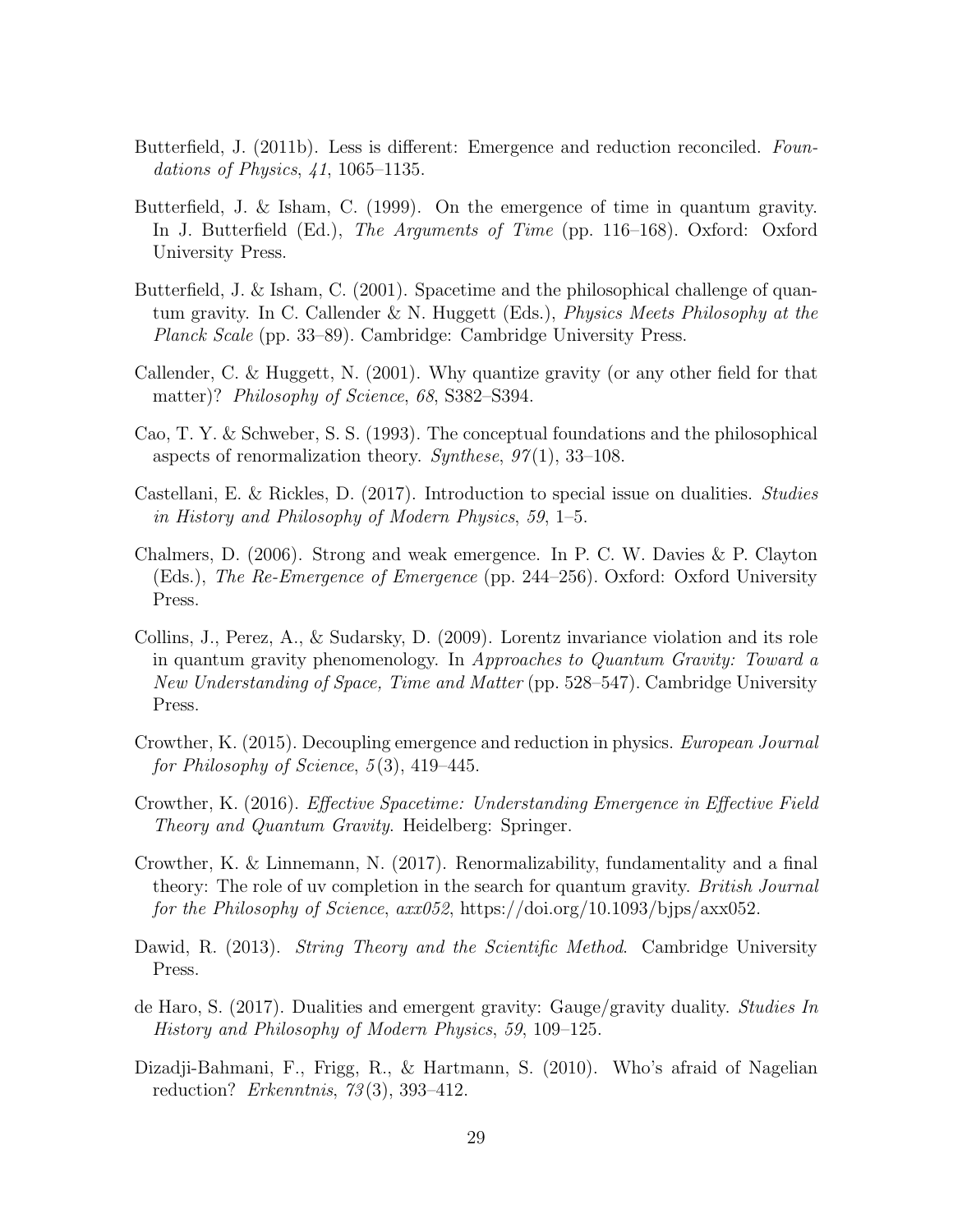- <span id="page-28-3"></span>Butterfield, J. (2011b). Less is different: Emergence and reduction reconciled. Foundations of Physics, 41, 1065–1135.
- <span id="page-28-0"></span>Butterfield, J. & Isham, C. (1999). On the emergence of time in quantum gravity. In J. Butterfield (Ed.), The Arguments of Time (pp. 116–168). Oxford: Oxford University Press.
- <span id="page-28-6"></span>Butterfield, J. & Isham, C. (2001). Spacetime and the philosophical challenge of quantum gravity. In C. Callender & N. Huggett (Eds.), Physics Meets Philosophy at the Planck Scale (pp. 33–89). Cambridge: Cambridge University Press.
- <span id="page-28-12"></span>Callender, C. & Huggett, N. (2001). Why quantize gravity (or any other field for that matter)? *Philosophy of Science*, 68, S382–S394.
- <span id="page-28-11"></span>Cao, T. Y. & Schweber, S. S. (1993). The conceptual foundations and the philosophical aspects of renormalization theory. Synthese,  $97(1)$ , 33–108.
- <span id="page-28-9"></span>Castellani, E. & Rickles, D. (2017). Introduction to special issue on dualities. Studies in History and Philosophy of Modern Physics, 59, 1–5.
- <span id="page-28-13"></span>Chalmers, D. (2006). Strong and weak emergence. In P. C. W. Davies & P. Clayton (Eds.), The Re-Emergence of Emergence (pp. 244–256). Oxford: Oxford University Press.
- <span id="page-28-8"></span>Collins, J., Perez, A., & Sudarsky, D. (2009). Lorentz invariance violation and its role in quantum gravity phenomenology. In Approaches to Quantum Gravity: Toward a New Understanding of Space, Time and Matter (pp. 528–547). Cambridge University Press.
- <span id="page-28-4"></span>Crowther, K. (2015). Decoupling emergence and reduction in physics. European Journal for Philosophy of Science,  $5(3)$ , 419–445.
- <span id="page-28-1"></span>Crowther, K. (2016). Effective Spacetime: Understanding Emergence in Effective Field Theory and Quantum Gravity. Heidelberg: Springer.
- <span id="page-28-5"></span>Crowther, K. & Linnemann, N. (2017). Renormalizability, fundamentality and a final theory: The role of uv completion in the search for quantum gravity. British Journal for the Philosophy of Science, axx052, https://doi.org/10.1093/bjps/axx052.
- <span id="page-28-7"></span>Dawid, R. (2013). *String Theory and the Scientific Method.* Cambridge University Press.
- <span id="page-28-2"></span>de Haro, S. (2017). Dualities and emergent gravity: Gauge/gravity duality. Studies In History and Philosophy of Modern Physics, 59, 109–125.
- <span id="page-28-10"></span>Dizadji-Bahmani, F., Frigg, R., & Hartmann, S. (2010). Who's afraid of Nagelian reduction? Erkenntnis,  $73(3)$ , 393-412.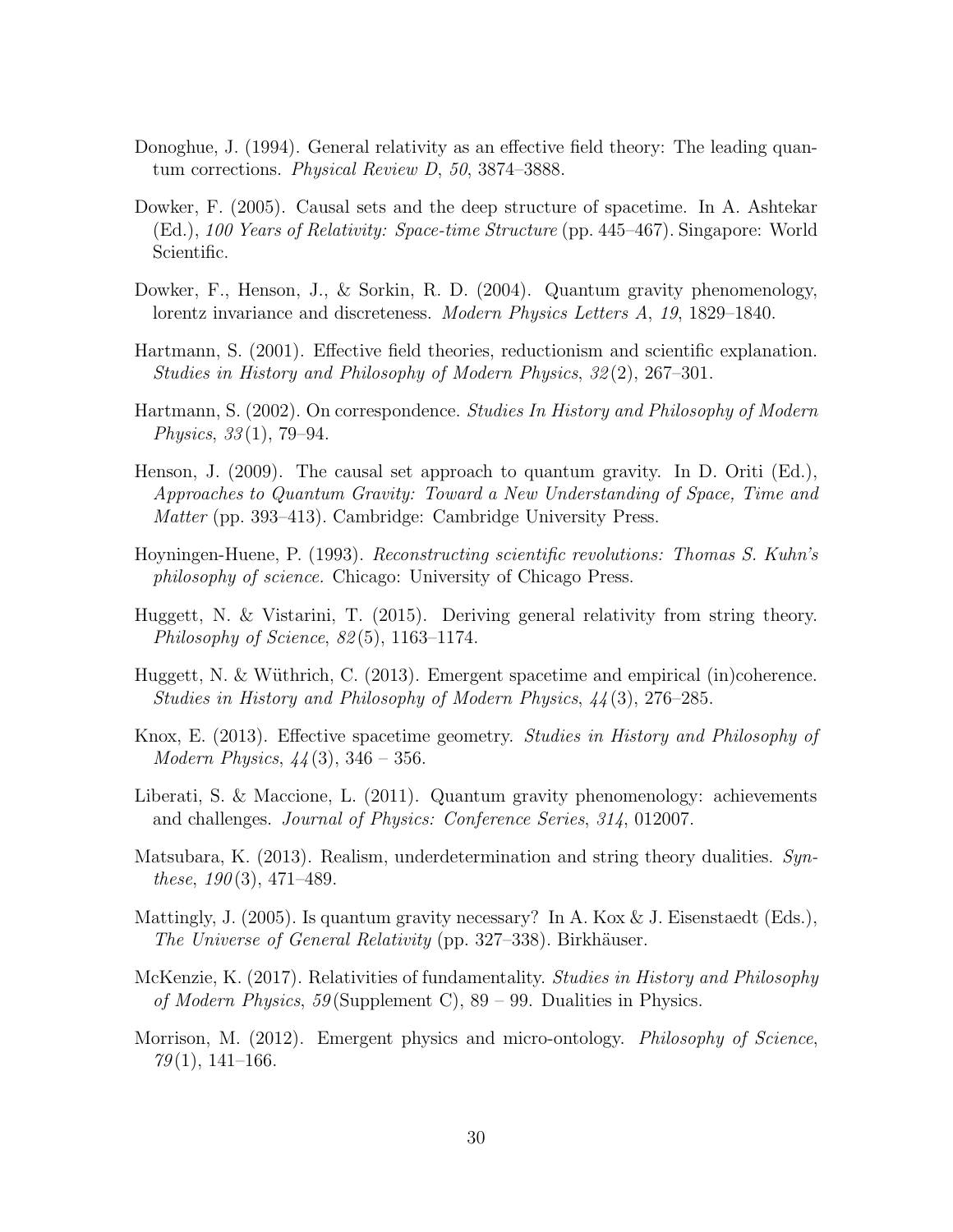- <span id="page-29-12"></span>Donoghue, J. (1994). General relativity as an effective field theory: The leading quantum corrections. Physical Review D, 50, 3874–3888.
- <span id="page-29-7"></span>Dowker, F. (2005). Causal sets and the deep structure of spacetime. In A. Ashtekar (Ed.), 100 Years of Relativity: Space-time Structure (pp. 445–467). Singapore: World Scientific.
- <span id="page-29-6"></span>Dowker, F., Henson, J., & Sorkin, R. D. (2004). Quantum gravity phenomenology, lorentz invariance and discreteness. Modern Physics Letters A, 19, 1829–1840.
- <span id="page-29-2"></span>Hartmann, S. (2001). Effective field theories, reductionism and scientific explanation. Studies in History and Philosophy of Modern Physics, 32 (2), 267–301.
- <span id="page-29-3"></span>Hartmann, S. (2002). On correspondence. Studies In History and Philosophy of Modern Physics,  $33(1)$ , 79–94.
- <span id="page-29-9"></span>Henson, J. (2009). The causal set approach to quantum gravity. In D. Oriti (Ed.), Approaches to Quantum Gravity: Toward a New Understanding of Space, Time and Matter (pp. 393–413). Cambridge: Cambridge University Press.
- <span id="page-29-4"></span>Hoyningen-Huene, P. (1993). Reconstructing scientific revolutions: Thomas S. Kuhn's philosophy of science. Chicago: University of Chicago Press.
- <span id="page-29-10"></span>Huggett, N. & Vistarini, T. (2015). Deriving general relativity from string theory. Philosophy of Science, 82 (5), 1163–1174.
- <span id="page-29-5"></span>Huggett, N. & Wüthrich, C. (2013). Emergent spacetime and empirical (in)coherence. Studies in History and Philosophy of Modern Physics, 44 (3), 276–285.
- <span id="page-29-0"></span>Knox, E. (2013). Effective spacetime geometry. Studies in History and Philosophy of *Modern Physics*,  $44(3)$ ,  $346 - 356$ .
- <span id="page-29-8"></span>Liberati, S. & Maccione, L. (2011). Quantum gravity phenomenology: achievements and challenges. Journal of Physics: Conference Series, 314, 012007.
- <span id="page-29-11"></span>Matsubara, K. (2013). Realism, underdetermination and string theory dualities. Syn*these*,  $190(3)$ ,  $471-489$ .
- <span id="page-29-14"></span>Mattingly, J. (2005). Is quantum gravity necessary? In A. Kox & J. Eisenstaedt (Eds.), The Universe of General Relativity (pp. 327–338). Birkhäuser.
- <span id="page-29-1"></span>McKenzie, K. (2017). Relativities of fundamentality. Studies in History and Philosophy of Modern Physics,  $59$  (Supplement C),  $89 - 99$ . Dualities in Physics.
- <span id="page-29-13"></span>Morrison, M. (2012). Emergent physics and micro-ontology. Philosophy of Science,  $79(1), 141-166.$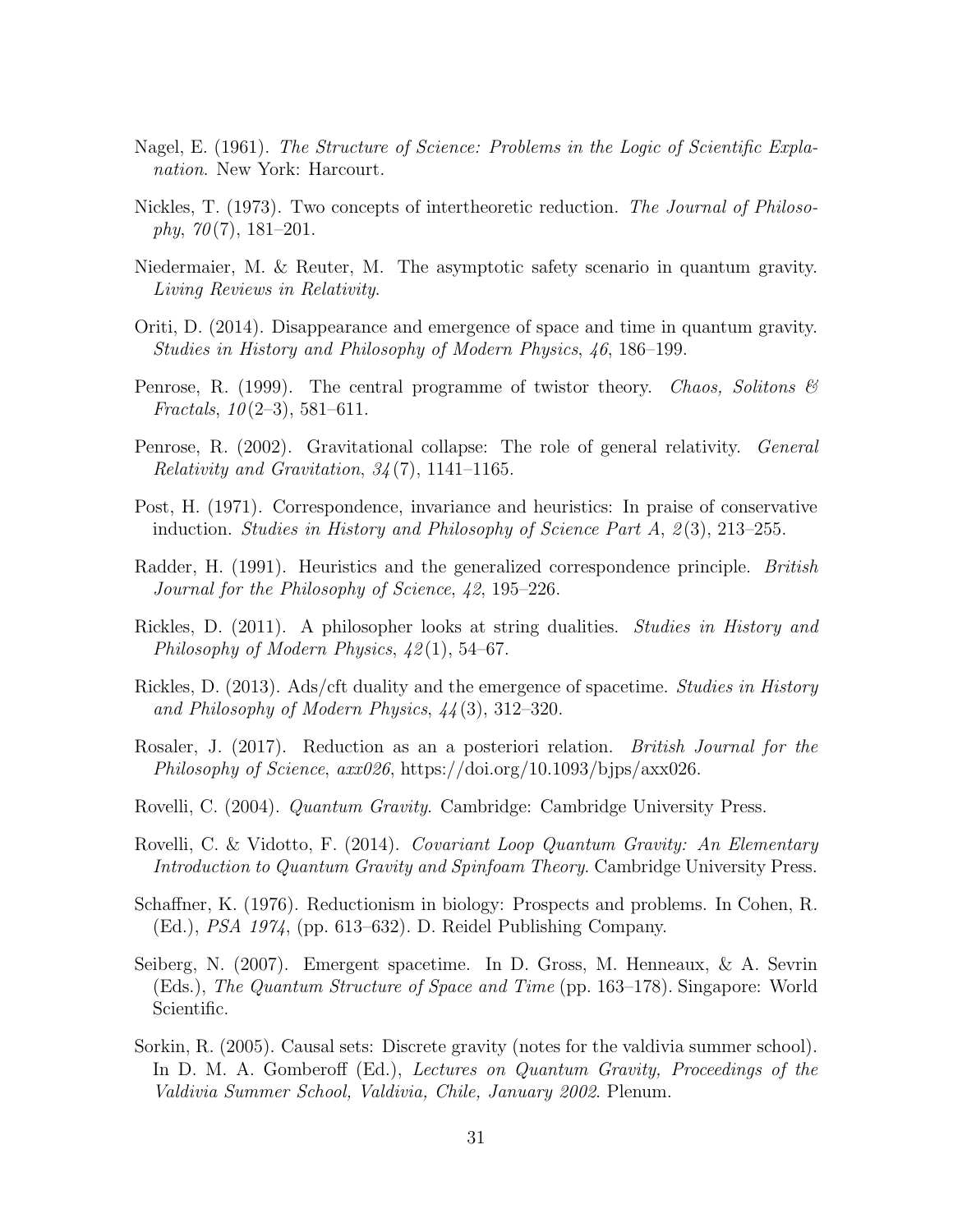- <span id="page-30-11"></span>Nagel, E. (1961). The Structure of Science: Problems in the Logic of Scientific Explanation. New York: Harcourt.
- <span id="page-30-5"></span>Nickles, T. (1973). Two concepts of intertheoretic reduction. The Journal of Philoso $phy, 70(7), 181-201.$
- <span id="page-30-15"></span>Niedermaier, M. & Reuter, M. The asymptotic safety scenario in quantum gravity. Living Reviews in Relativity.
- <span id="page-30-2"></span>Oriti, D. (2014). Disappearance and emergence of space and time in quantum gravity. Studies in History and Philosophy of Modern Physics, 46, 186–199.
- <span id="page-30-3"></span>Penrose, R. (1999). The central programme of twistor theory. Chaos, Solitons  $\mathcal{B}$ Fractals,  $10(2-3)$ , 581-611.
- <span id="page-30-4"></span>Penrose, R. (2002). Gravitational collapse: The role of general relativity. *General* Relativity and Gravitation,  $34(7)$ , 1141–1165.
- <span id="page-30-6"></span>Post, H. (1971). Correspondence, invariance and heuristics: In praise of conservative induction. Studies in History and Philosophy of Science Part  $A$ ,  $2(3)$ , 213–255.
- <span id="page-30-7"></span>Radder, H. (1991). Heuristics and the generalized correspondence principle. *British* Journal for the Philosophy of Science, 42, 195–226.
- <span id="page-30-13"></span>Rickles, D. (2011). A philosopher looks at string dualities. Studies in History and Philosophy of Modern Physics, 42 (1), 54–67.
- <span id="page-30-0"></span>Rickles, D. (2013). Ads/cft duality and the emergence of spacetime. Studies in History and Philosophy of Modern Physics, 44 (3), 312–320.
- <span id="page-30-14"></span>Rosaler, J. (2017). Reduction as an a posteriori relation. British Journal for the Philosophy of Science, axx026, https://doi.org/10.1093/bjps/axx026.
- <span id="page-30-8"></span>Rovelli, C. (2004). Quantum Gravity. Cambridge: Cambridge University Press.
- <span id="page-30-9"></span>Rovelli, C. & Vidotto, F. (2014). Covariant Loop Quantum Gravity: An Elementary Introduction to Quantum Gravity and Spinfoam Theory. Cambridge University Press.
- <span id="page-30-12"></span>Schaffner, K. (1976). Reductionism in biology: Prospects and problems. In Cohen, R. (Ed.), PSA 1974, (pp. 613–632). D. Reidel Publishing Company.
- <span id="page-30-1"></span>Seiberg, N. (2007). Emergent spacetime. In D. Gross, M. Henneaux, & A. Sevrin (Eds.), The Quantum Structure of Space and Time (pp. 163–178). Singapore: World Scientific.
- <span id="page-30-10"></span>Sorkin, R. (2005). Causal sets: Discrete gravity (notes for the valdivia summer school). In D. M. A. Gomberoff (Ed.), Lectures on Quantum Gravity, Proceedings of the Valdivia Summer School, Valdivia, Chile, January 2002. Plenum.